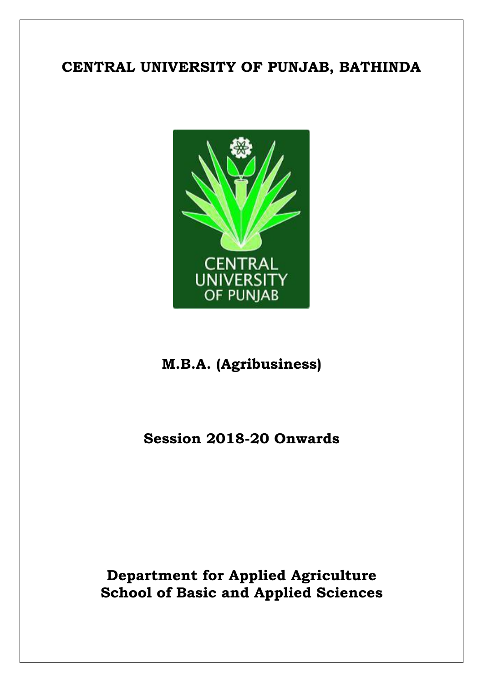### **CENTRAL UNIVERSITY OF PUNJAB, BATHINDA**



### **M.B.A. (Agribusiness)**

### **Session 2018-20 Onwards**

### **Department for Applied Agriculture School of Basic and Applied Sciences**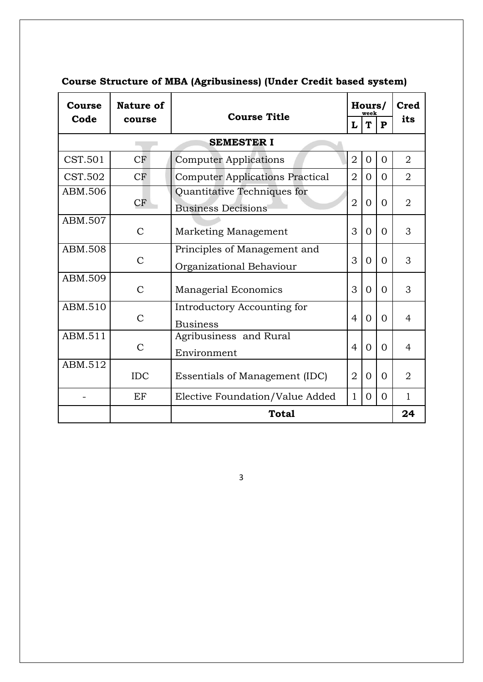| Course            | <b>Nature of</b><br><b>Course Title</b>                         |                                                                            |                | Hours/<br>week |          | <b>Cred</b>    |
|-------------------|-----------------------------------------------------------------|----------------------------------------------------------------------------|----------------|----------------|----------|----------------|
| Code              | course                                                          | L                                                                          |                | T              | P        | its            |
| <b>SEMESTER I</b> |                                                                 |                                                                            |                |                |          |                |
| CST.501           | CF                                                              | <b>Computer Applications</b>                                               | $\overline{2}$ | $\overline{0}$ | $\Omega$ | $\overline{2}$ |
| CST.502           | CF                                                              | <b>Computer Applications Practical</b>                                     | $\overline{2}$ | 0              | $\Omega$ | $\overline{2}$ |
| ABM.506           | CF                                                              | Quantitative Techniques for<br>$\overline{2}$<br><b>Business Decisions</b> |                | $\Omega$       | $\Omega$ | $\overline{2}$ |
| ABM.507           | $\mathcal{C}$                                                   | Marketing Management                                                       | 3              | $\Omega$       | $\Omega$ | 3              |
| ABM.508           | $\mathcal{C}$                                                   | Principles of Management and<br>Organizational Behaviour                   | 3              | $\Omega$       | $\Omega$ | 3              |
| ABM.509           | $\mathcal{C}$                                                   | <b>Managerial Economics</b>                                                | 3              | 0              | $\Omega$ | 3              |
| ABM.510           | Introductory Accounting for<br>$\mathcal{C}$<br><b>Business</b> |                                                                            | $\overline{4}$ | 0              | $\Omega$ | 4              |
| ABM.511           | Agribusiness and Rural<br>$\mathcal{C}$<br>Environment          |                                                                            | $\overline{4}$ | $\Omega$       | $\Omega$ | $\overline{4}$ |
| ABM.512           | <b>IDC</b><br>Essentials of Management (IDC)                    |                                                                            | $\overline{2}$ | 0              | $\Omega$ | $\overline{2}$ |
|                   | EF                                                              | Elective Foundation/Value Added<br>$\mathbf{1}$                            |                | 0              | $\Omega$ | 1              |
|                   |                                                                 | <b>Total</b>                                                               |                |                |          | 24             |

### **Course Structure of MBA (Agribusiness) (Under Credit based system)**

3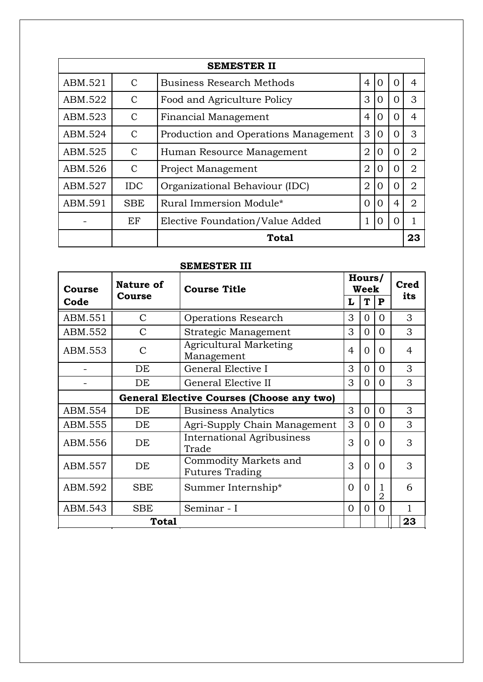| <b>SEMESTER II</b> |               |                                               |                |          |                  |                |  |
|--------------------|---------------|-----------------------------------------------|----------------|----------|------------------|----------------|--|
| ABM.521            | $\mathcal{C}$ | <b>Business Research Methods</b>              | $\overline{4}$ | 0        | $\left( \right)$ | 4              |  |
| ABM.522            | $\mathcal{C}$ | Food and Agriculture Policy                   | 3              | 0        | $\left( \right)$ | 3              |  |
| ABM.523            | $\mathcal{C}$ | $\overline{4}$<br><b>Financial Management</b> |                | 0        | ∩                | 4              |  |
| ABM.524            | C             | Production and Operations Management          | 3              | $\Omega$ | ∩                | 3              |  |
| ABM.525            | $\mathcal{C}$ | Human Resource Management                     | $\overline{2}$ | 0        | $\Omega$         | $\overline{2}$ |  |
| ABM.526            | C             | $\overline{2}$<br>Project Management          |                | 0        | $\Omega$         | $\overline{2}$ |  |
| ABM.527            | <b>IDC</b>    | Organizational Behaviour (IDC)                | $\overline{2}$ | 0        |                  | $\overline{2}$ |  |
| ABM.591            | <b>SBE</b>    | Rural Immersion Module*                       | $\Omega$       | 0        | 4                | $\overline{2}$ |  |
|                    | EF            | Elective Foundation/Value Added               |                | $\Omega$ |                  |                |  |
|                    |               | Total                                         |                |          |                  | 23             |  |

### **SEMESTER III**

| Course  | Nature of                                 | <b>Course Title</b>                              |          | Hours/<br>Week |          | Cred |
|---------|-------------------------------------------|--------------------------------------------------|----------|----------------|----------|------|
| Code    | <b>Course</b>                             |                                                  | L        | T              | P        | its  |
| ABM.551 | $\mathcal{C}$                             | Operations Research                              | 3        | $\Omega$       | $\Omega$ | 3    |
| ABM.552 | C                                         | Strategic Management                             | 3        | $\Omega$       | $\Omega$ | 3    |
| ABM.553 | $\mathcal{C}$                             | <b>Agricultural Marketing</b><br>4<br>Management |          | $\Omega$       | 0        | 4    |
|         | DE                                        | General Elective I                               | 3        | $\Omega$       | $\Omega$ | 3    |
|         | DE                                        | General Elective II                              | 3        | $\Omega$       | $\Omega$ | 3    |
|         | General Elective Courses (Choose any two) |                                                  |          |                |          |      |
| ABM.554 | DE                                        | <b>Business Analytics</b>                        | 3        | $\Omega$       | $\Omega$ | 3    |
| ABM.555 | DE                                        | Agri-Supply Chain Management                     | 3        | $\Omega$       | $\Omega$ | 3    |
| ABM.556 | DE                                        | International Agribusiness<br>Trade              | 3        | $\Omega$       | $\Omega$ | 3    |
| ABM.557 | DE                                        | Commodity Markets and<br><b>Futures Trading</b>  | 3        | $\theta$       | $\Omega$ | 3    |
| ABM.592 | <b>SBE</b>                                | Summer Internship*                               | $\Omega$ | $\Omega$       | 2        | 6    |
| ABM.543 | <b>SBE</b>                                | Seminar - I                                      | 0        | 0              | $\Omega$ | 1    |
|         | <b>Total</b>                              |                                                  |          |                |          | 23   |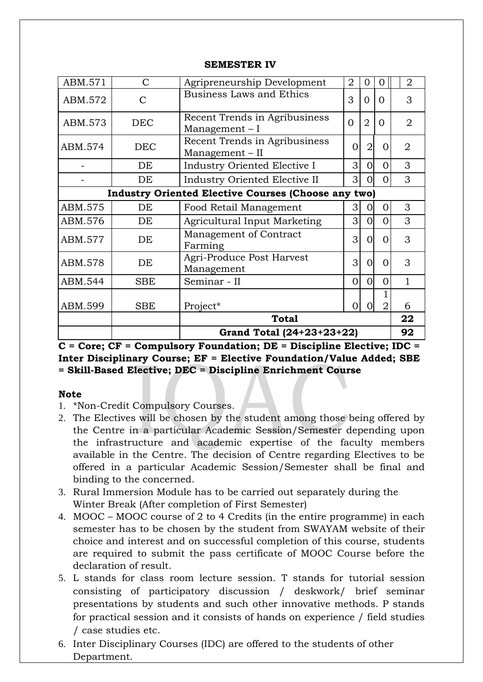| ABM.571                                                    | $\mathcal{C}$ | Agripreneurship Development                        | $\overline{2}$ | $\Omega$       | 0              | $\overline{2}$ |
|------------------------------------------------------------|---------------|----------------------------------------------------|----------------|----------------|----------------|----------------|
| ABM.572                                                    | $\mathcal{C}$ | <b>Business Laws and Ethics</b>                    | 3              | $\Omega$       | $\Omega$       | 3              |
| ABM.573                                                    | <b>DEC</b>    | Recent Trends in Agribusiness<br>Management $-I$   | $\Omega$       | $\overline{2}$ | $\Omega$       | $\overline{2}$ |
| ABM.574                                                    | <b>DEC</b>    | Recent Trends in Agribusiness<br>$Management - II$ | 0              | $\overline{2}$ | 0              | $\overline{2}$ |
|                                                            | DE            | Industry Oriented Elective I                       | 3              | $\Omega$       | 0              | 3              |
|                                                            | DE            | Industry Oriented Elective II                      | 3              | 0              | ∩              | 3              |
| <b>Industry Oriented Elective Courses (Choose any two)</b> |               |                                                    |                |                |                |                |
| ABM.575                                                    | DE            | Food Retail Management                             | $\overline{3}$ | $\Omega$       | 0              | 3              |
| ABM.576                                                    | DE            | Agricultural Input Marketing                       | 3              | $\Omega$       | O              | 3              |
| ABM.577                                                    | DE            | Management of Contract<br>Farming                  | 3              | $\Omega$       | $\Omega$       | 3              |
| ABM.578                                                    | DE            | Agri-Produce Post Harvest<br>Management            | 3              | $\Omega$       | $\Omega$       | 3              |
| ABM.544                                                    | <b>SBE</b>    | Seminar - II                                       | $\Omega$       | $\overline{O}$ | 0              | 1              |
| ABM.599                                                    | SBE           | Project*                                           | 0              |                | $\overline{2}$ | 6              |
| <b>Total</b>                                               |               |                                                    |                |                | 22             |                |
|                                                            |               | Grand Total (24+23+23+22)                          |                |                |                | 92             |

#### **SEMESTER IV**

**C = Core; CF = Compulsory Foundation; DE = Discipline Elective; IDC = Inter Disciplinary Course; EF = Elective Foundation/Value Added; SBE = Skill-Based Elective; DEC = Discipline Enrichment Course**

#### **Note**

- 1. \*Non-Credit Compulsory Courses.
- 2. The Electives will be chosen by the student among those being offered by the Centre in a particular Academic Session/Semester depending upon the infrastructure and academic expertise of the faculty members available in the Centre. The decision of Centre regarding Electives to be offered in a particular Academic Session/Semester shall be final and binding to the concerned.
- 3. Rural Immersion Module has to be carried out separately during the Winter Break (After completion of First Semester)
- 4. MOOC MOOC course of 2 to 4 Credits (in the entire programme) in each semester has to be chosen by the student from SWAYAM website of their choice and interest and on successful completion of this course, students are required to submit the pass certificate of MOOC Course before the declaration of result.
- 5. L stands for class room lecture session. T stands for tutorial session consisting of participatory discussion / deskwork/ brief seminar presentations by students and such other innovative methods. P stands for practical session and it consists of hands on experience / field studies / case studies etc.
- 6. Inter Disciplinary Courses (IDC) are offered to the students of other Department.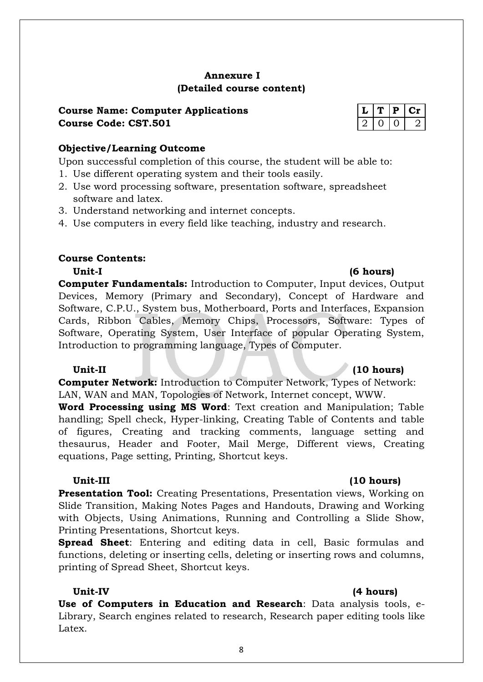#### **Annexure I (Detailed course content)**

### **Course Name: Computer Applications Course Code: CST.501**

Upon successful completion of this course, the student will be able to:

- 1. Use different operating system and their tools easily.
- 2. Use word processing software, presentation software, spreadsheet software and latex.
- 3. Understand networking and internet concepts.
- 4. Use computers in every field like teaching, industry and research.

#### **Course Contents:**

**Computer Fundamentals:** Introduction to Computer, Input devices, Output Devices, Memory (Primary and Secondary), Concept of Hardware and Software, C.P.U., System bus, Motherboard, Ports and Interfaces, Expansion Cards, Ribbon Cables, Memory Chips, Processors, Software: Types of Software, Operating System, User Interface of popular Operating System, Introduction to programming language, Types of Computer.

#### **Unit-II (10 hours)**

**Computer Network:** Introduction to Computer Network, Types of Network: LAN, WAN and MAN, Topologies of Network, Internet concept, WWW.

**Word Processing using MS Word**: Text creation and Manipulation; Table handling; Spell check, Hyper-linking, Creating Table of Contents and table of figures, Creating and tracking comments, language setting and thesaurus, Header and Footer, Mail Merge, Different views, Creating equations, Page setting, Printing, Shortcut keys.

#### **Unit-III (10 hours)**

**Presentation Tool:** Creating Presentations, Presentation views, Working on Slide Transition, Making Notes Pages and Handouts, Drawing and Working with Objects, Using Animations, Running and Controlling a Slide Show, Printing Presentations, Shortcut keys.

**Spread Sheet**: Entering and editing data in cell, Basic formulas and functions, deleting or inserting cells, deleting or inserting rows and columns, printing of Spread Sheet, Shortcut keys.

**Unit-IV (4 hours)**

**Use of Computers in Education and Research**: Data analysis tools, e-Library, Search engines related to research, Research paper editing tools like Latex.

### **Unit-I (6 hours)**

|  | D | J. |
|--|---|----|
|  |   |    |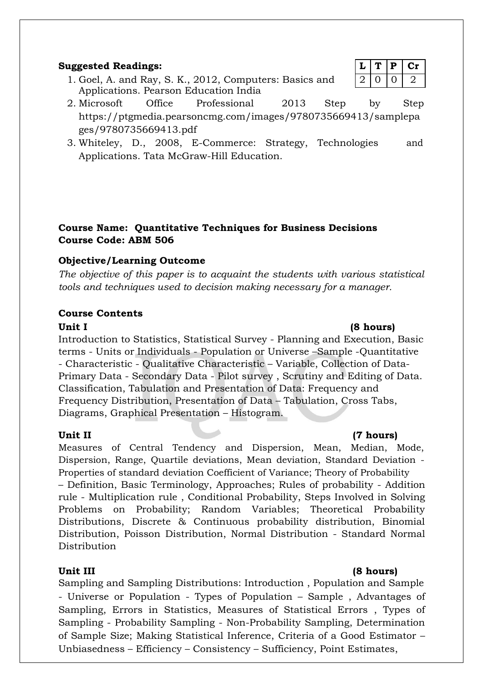#### **Suggested Readings:**  $|L|T|P|Cr$

- 1. Goel, A. and Ray, S. K., 2012, Computers: Basics and  $\begin{bmatrix} 2 & 0 & 0 & 2 \end{bmatrix}$ Applications. Pearson Education India
- 2. Microsoft Office Professional 2013 Step by Step https://ptgmedia.pearsoncmg.com/images/9780735669413/samplepa ges/9780735669413.pdf
- 3. Whiteley, D., 2008, E-Commerce: Strategy, Technologies and Applications. Tata McGraw-Hill Education.

#### **Course Name: Quantitative Techniques for Business Decisions Course Code: ABM 506**

### **Objective/Learning Outcome**

*The objective of this paper is to acquaint the students with various statistical tools and techniques used to decision making necessary for a manager.*

#### **Course Contents**

Introduction to Statistics, Statistical Survey - Planning and Execution, Basic terms - Units or Individuals - Population or Universe –Sample -Quantitative - Characteristic - Qualitative Characteristic – Variable, Collection of Data-Primary Data - Secondary Data - Pilot survey , Scrutiny and Editing of Data. Classification, Tabulation and Presentation of Data: Frequency and Frequency Distribution, Presentation of Data – Tabulation, Cross Tabs, Diagrams, Graphical Presentation – Histogram.

Measures of Central Tendency and Dispersion, Mean, Median, Mode, Dispersion, Range, Quartile deviations, Mean deviation, Standard Deviation - Properties of standard deviation Coefficient of Variance; Theory of Probability – Definition, Basic Terminology, Approaches; Rules of probability - Addition rule - Multiplication rule , Conditional Probability, Steps Involved in Solving Problems on Probability; Random Variables; Theoretical Probability Distributions, Discrete & Continuous probability distribution, Binomial Distribution, Poisson Distribution, Normal Distribution - Standard Normal Distribution

### **Unit III (8 hours)**

Sampling and Sampling Distributions: Introduction , Population and Sample - Universe or Population - Types of Population – Sample , Advantages of Sampling, Errors in Statistics, Measures of Statistical Errors , Types of Sampling - Probability Sampling - Non-Probability Sampling, Determination of Sample Size; Making Statistical Inference, Criteria of a Good Estimator – Unbiasedness – Efficiency – Consistency – Sufficiency, Point Estimates,

#### Unit II **(7 hours)**

#### Unit I (8 hours)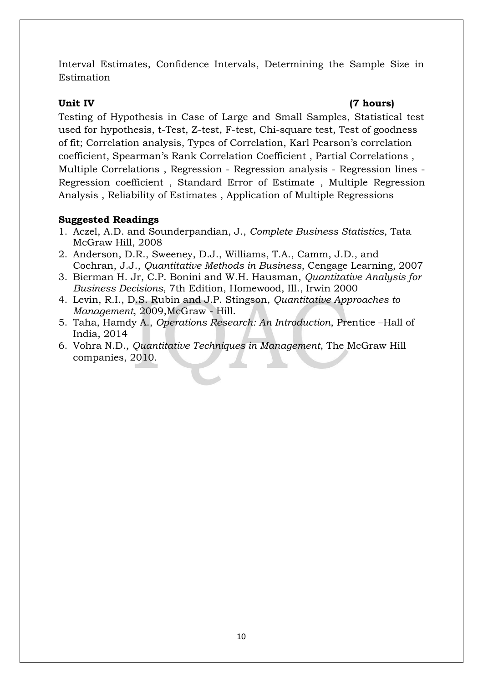Interval Estimates, Confidence Intervals, Determining the Sample Size in Estimation

#### **Unit IV (7 hours)**

Testing of Hypothesis in Case of Large and Small Samples, Statistical test used for hypothesis, t-Test, Z-test, F-test, Chi-square test, Test of goodness of fit; Correlation analysis, Types of Correlation, Karl Pearson's correlation coefficient, Spearman's Rank Correlation Coefficient , Partial Correlations , Multiple Correlations , Regression - Regression analysis - Regression lines - Regression coefficient , Standard Error of Estimate , Multiple Regression Analysis , Reliability of Estimates , Application of Multiple Regressions

#### **Suggested Readings**

- 1. Aczel, A.D. and Sounderpandian, J., *Complete Business Statistics*, Tata McGraw Hill, 2008
- 2. Anderson, D.R., Sweeney, D.J., Williams, T.A., Camm, J.D., and Cochran, J.J., *Quantitative Methods in Business*, Cengage Learning, 2007
- 3. Bierman H. Jr, C.P. Bonini and W.H. Hausman, *Quantitative Analysis for Business Decisions*, 7th Edition, Homewood, Ill., Irwin 2000
- 4. Levin, R.I., D.S. Rubin and J.P. Stingson, *Quantitative Approaches to Management*, 2009,McGraw - Hill.
- 5. Taha, Hamdy A., *Operations Research: An Introduction*, Prentice –Hall of India, 2014
- 6. Vohra N.D., *Quantitative Techniques in Management*, The McGraw Hill companies, 2010.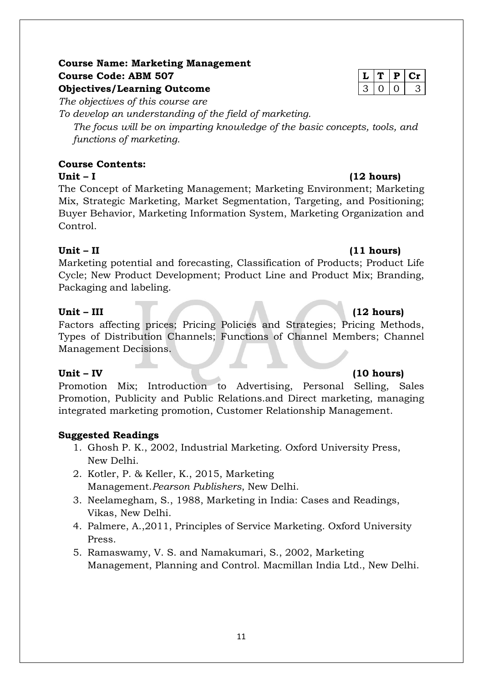### **Course Name: Marketing Management Course Code: ABM 507 L T P Cr Objectives/Learning Outcome**

*The objectives of this course are*

*To develop an understanding of the field of marketing. The focus will be on imparting knowledge of the basic concepts, tools, and functions of marketing.*

#### **Course Contents: Unit – I (12 hours)**

The Concept of Marketing Management; Marketing Environment; Marketing Mix, Strategic Marketing, Market Segmentation, Targeting, and Positioning; Buyer Behavior, Marketing Information System, Marketing Organization and Control.

### **Unit – II (11 hours)**

Marketing potential and forecasting, Classification of Products; Product Life Cycle; New Product Development; Product Line and Product Mix; Branding, Packaging and labeling.

### **Unit – III (12 hours)**

Factors affecting prices; Pricing Policies and Strategies; Pricing Methods, Types of Distribution Channels; Functions of Channel Members; Channel Management Decisions.

Promotion Mix; Introduction to Advertising, Personal Selling, Sales Promotion, Publicity and Public Relations.and Direct marketing, managing integrated marketing promotion, Customer Relationship Management.

### **Suggested Readings**

- 1. Ghosh P. K., 2002, Industrial Marketing. Oxford University Press, New Delhi.
- 2. Kotler, P. & Keller, K., 2015, Marketing Management.*Pearson Publishers*, New Delhi.
- 3. Neelamegham, S., 1988, Marketing in India: Cases and Readings, Vikas, New Delhi.
- 4. Palmere, A.,2011, Principles of Service Marketing. Oxford University Press.
- 5. Ramaswamy, V. S. and Namakumari, S., 2002, Marketing Management, Planning and Control. Macmillan India Ltd*.*, New Delhi.

#### **Unit – IV (10 hours)**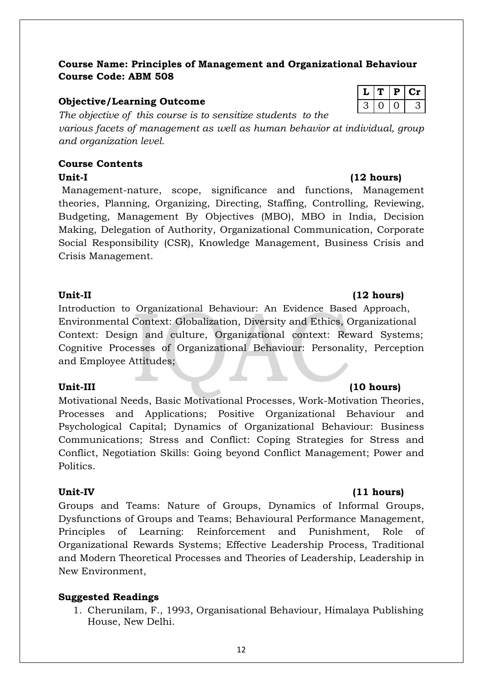### **Course Name: Principles of Management and Organizational Behaviour Course Code: ABM 508**

### **Objective/Learning Outcome**

*The objective of this course is to sensitize students to the various facets of management as well as human behavior at individual, group and organization level.*

#### **Course Contents Unit-I (12 hours)**

Management-nature, scope, significance and functions, Management theories, Planning, Organizing, Directing, Staffing, Controlling, Reviewing, Budgeting, Management By Objectives (MBO), MBO in India, Decision Making, Delegation of Authority, Organizational Communication, Corporate Social Responsibility (CSR), Knowledge Management, Business Crisis and Crisis Management.

### **Unit-II (12 hours)**

Introduction to Organizational Behaviour: An Evidence Based Approach, Environmental Context: Globalization, Diversity and Ethics, Organizational Context: Design and culture, Organizational context: Reward Systems; Cognitive Processes of Organizational Behaviour: Personality, Perception and Employee Attitudes;

Motivational Needs, Basic Motivational Processes, Work-Motivation Theories, Processes and Applications; Positive Organizational Behaviour and Psychological Capital; Dynamics of Organizational Behaviour: Business Communications; Stress and Conflict: Coping Strategies for Stress and Conflict, Negotiation Skills: Going beyond Conflict Management; Power and Politics.

Groups and Teams: Nature of Groups, Dynamics of Informal Groups, Dysfunctions of Groups and Teams; Behavioural Performance Management, Principles of Learning: Reinforcement and Punishment, Role of Organizational Rewards Systems; Effective Leadership Process, Traditional and Modern Theoretical Processes and Theories of Leadership, Leadership in New Environment,

### **Suggested Readings**

1. Cherunilam, F., 1993, Organisational Behaviour, Himalaya Publishing House, New Delhi.

### **Unit-III (10 hours)**

### **Unit-IV (11 hours)**

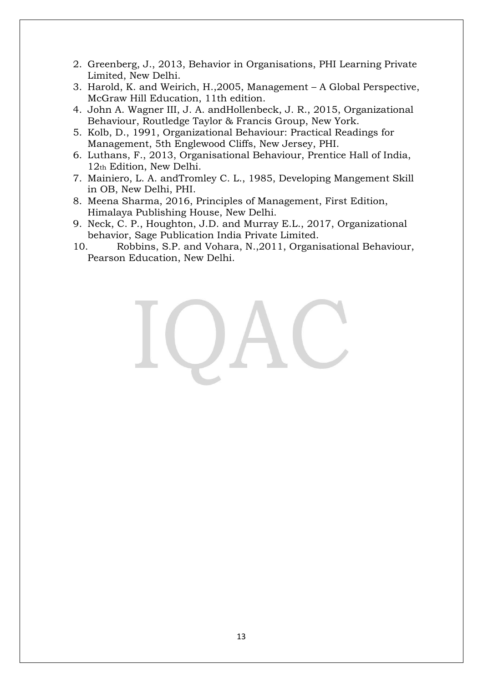- 2. Greenberg, J., 2013, Behavior in Organisations, PHI Learning Private Limited, New Delhi.
- 3. Harold, K. and Weirich, H.,2005, Management A Global Perspective, McGraw Hill Education, 11th edition.
- 4. [John A. Wagner III, J](https://www.google.co.in/search?espv=2&biw=1024&bih=613&tbm=bks&q=inauthor:%22John+A.+Wagner+III%22&sa=X&ved=0ahUKEwiIjrKg7rnRAhVKQo8KHRptC-kQ9AgIGzAA). A. [andHollenbeck, J](https://www.google.co.in/search?espv=2&biw=1024&bih=613&tbm=bks&q=inauthor:%22John+R.+Hollenbeck%22&sa=X&ved=0ahUKEwiIjrKg7rnRAhVKQo8KHRptC-kQ9AgIHDAA). R., 2015, Organizational Behaviour, Routledge Taylor & Francis Group, New York.
- 5. Kolb, D., 1991, Organizational Behaviour: Practical Readings for Management, 5th Englewood Cliffs, New Jersey, PHI.
- 6. Luthans, F., 2013, Organisational Behaviour, Prentice Hall of India, 12th Edition, New Delhi.
- 7. Mainiero, L. A. andTromley C. L., 1985, Developing Mangement Skill in OB, New Delhi, PHI.
- 8. Meena Sharma, 2016, Principles of Management, First Edition, Himalaya Publishing House, New Delhi.
- 9. Neck, C. P., Houghton, J.D. and Murray E.L., 2017, Organizational behavior, Sage Publication India Private Limited.
- 10. Robbins, S.P. and Vohara, N.,2011, Organisational Behaviour, Pearson Education, New Delhi.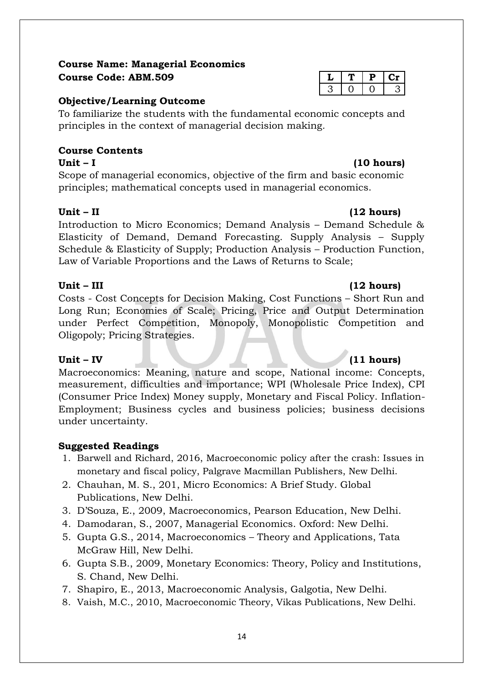#### **Course Name: Managerial Economics**  $C$ **Ourse Code: ABM.509**

#### **Objective/Learning Outcome**

To familiarize the students with the fundamental economic concepts and principles in the context of managerial decision making*.*

### **Course Contents**

Scope of managerial economics, objective of the firm and basic economic principles; mathematical concepts used in managerial economics.

### **Unit – II (12 hours)**

Introduction to Micro Economics; Demand Analysis – Demand Schedule & Elasticity of Demand, Demand Forecasting. Supply Analysis – Supply Schedule & Elasticity of Supply; Production Analysis – Production Function, Law of Variable Proportions and the Laws of Returns to Scale;

### **Unit – III (12 hours)**

Costs - Cost Concepts for Decision Making, Cost Functions – Short Run and Long Run; Economies of Scale; Pricing, Price and Output Determination under Perfect Competition, Monopoly, Monopolistic Competition and Oligopoly; Pricing Strategies.

Macroeconomics: Meaning, nature and scope, National income: Concepts, measurement, difficulties and importance; WPI (Wholesale Price Index), CPI (Consumer Price Index) Money supply, Monetary and Fiscal Policy. Inflation-Employment; Business cycles and business policies; business decisions under uncertainty.

### **Suggested Readings**

- 1. Barwell and Richard, 2016, Macroeconomic policy after the crash: Issues in monetary and fiscal policy, Palgrave Macmillan Publishers, New Delhi.
- 2. Chauhan, M. S., 201, Micro Economics: A Brief Study. Global Publications, New Delhi.
- 3. D'Souza, E., 2009, Macroeconomics, Pearson Education, New Delhi.
- 4. Damodaran, S., 2007, Managerial Economics. Oxford: New Delhi.
- 5. Gupta G.S., 2014, Macroeconomics Theory and Applications, Tata McGraw Hill, New Delhi.
- 6. Gupta S.B., 2009, Monetary Economics: Theory, Policy and Institutions, S. Chand, New Delhi.
- 7. Shapiro, E., 2013, Macroeconomic Analysis, Galgotia, New Delhi.
- 8. Vaish, M.C., 2010, Macroeconomic Theory, Vikas Publications, New Delhi.

### **Unit – IV (11 hours)**

### **Unit – I (10 hours)**

|  | ш |  |
|--|---|--|
|  |   |  |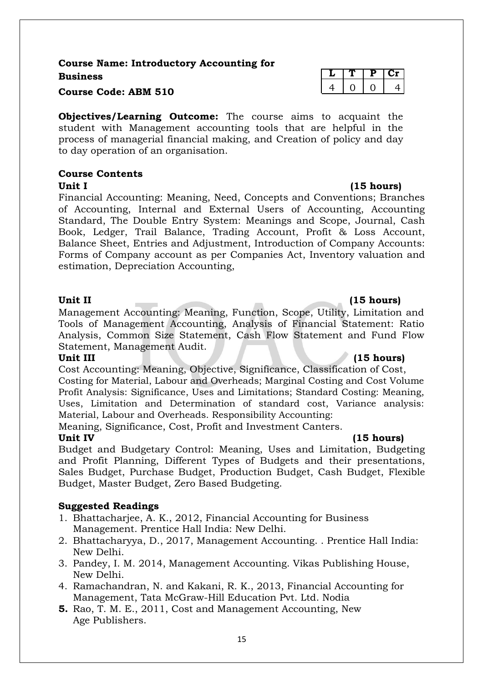### **Course Name: Introductory Accounting for Business L T P Cr**

**Course Code: ABM 510** 

**Objectives/Learning Outcome:** The course aims to acquaint the student with Management accounting tools that are helpful in the process of managerial financial making, and Creation of policy and day to day operation of an organisation.

#### **Course Contents**

#### Unit I (15 **hours)**

Financial Accounting: Meaning, Need, Concepts and Conventions; Branches of Accounting, Internal and External Users of Accounting, Accounting Standard, The Double Entry System: Meanings and Scope, Journal, Cash Book, Ledger, Trail Balance, Trading Account, Profit & Loss Account, Balance Sheet, Entries and Adjustment, Introduction of Company Accounts: Forms of Company account as per Companies Act, Inventory valuation and estimation, Depreciation Accounting,

Management Accounting: Meaning, Function, Scope, Utility, Limitation and Tools of Management Accounting, Analysis of Financial Statement: Ratio Analysis, Common Size Statement, Cash Flow Statement and Fund Flow Statement, Management Audit.

#### **Unit III (15 hours)**

Cost Accounting: Meaning, Objective, Significance, Classification of Cost, Costing for Material, Labour and Overheads; Marginal Costing and Cost Volume Profit Analysis: Significance, Uses and Limitations; Standard Costing: Meaning, Uses, Limitation and Determination of standard cost, Variance analysis: Material, Labour and Overheads. Responsibility Accounting:

Meaning, Significance, Cost, Profit and Investment Canters.

### **Unit IV (15 hours)**

Budget and Budgetary Control: Meaning, Uses and Limitation, Budgeting and Profit Planning, Different Types of Budgets and their presentations, Sales Budget, Purchase Budget, Production Budget, Cash Budget, Flexible Budget, Master Budget, Zero Based Budgeting.

### **Suggested Readings**

- 1. Bhattacharjee, A. K., 2012, Financial Accounting for Business Management. Prentice Hall India: New Delhi.
- 2. Bhattacharyya, D., 2017, Management Accounting. . Prentice Hall India: New Delhi.
- 3. Pandey, I. M. 2014, Management Accounting. Vikas Publishing House, New Delhi.
- 4. Ramachandran, N. and Kakani, R. K., 2013, Financial Accounting for Management, Tata McGraw-Hill Education Pvt. Ltd. Nodia
- **5.** Rao, T. M. E., 2011, Cost and Management Accounting, New Age Publishers.

|  | ۰. |
|--|----|

### **Unit II (15 hours)**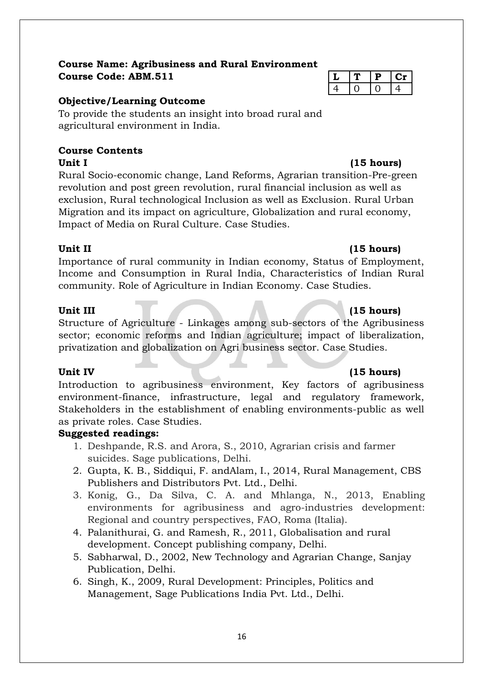### **Course Name: Agribusiness and Rural Environment**  $C$ ourse Code: ABM.511

### **Objective/Learning Outcome**

To provide the students an insight into broad rural and agricultural environment in India.

#### **Course Contents** Unit I (15 hours)

Rural Socio-economic change, Land Reforms, Agrarian transition-Pre-green revolution and post green revolution, rural financial inclusion as well as exclusion, Rural technological Inclusion as well as Exclusion. Rural Urban Migration and its impact on agriculture, Globalization and rural economy, Impact of Media on Rural Culture. Case Studies.

### **Unit II (15 hours)**

Importance of rural community in Indian economy, Status of Employment, Income and Consumption in Rural India, Characteristics of Indian Rural community. Role of Agriculture in Indian Economy. Case Studies.

### **Unit III (15 hours)**

Structure of Agriculture - Linkages among sub-sectors of the Agribusiness sector; economic reforms and Indian agriculture; impact of liberalization, privatization and globalization on Agri business sector. Case Studies.

Introduction to agribusiness environment, Key factors of agribusiness environment-finance, infrastructure, legal and regulatory framework, Stakeholders in the establishment of enabling environments-public as well as private roles. Case Studies.

### **Suggested readings:**

- 1. Deshpande, R.S. and Arora, S., 2010, Agrarian crisis and farmer suicides. Sage publications, Delhi.
- 2. Gupta, K. B., Siddiqui, F. andAlam, I., 2014, Rural Management, CBS Publishers and Distributors Pvt. Ltd., Delhi.
- 3. Konig, G., Da Silva, C. A. and Mhlanga, N., 2013, Enabling environments for agribusiness and agro-industries development: Regional and country perspectives, FAO, Roma (Italia).
- 4. Palanithurai, G. and Ramesh, R., 2011, Globalisation and rural development. Concept publishing company, Delhi.
- 5. Sabharwal, D., 2002, New Technology and Agrarian Change, Sanjay Publication, Delhi.
- 6. Singh, K., 2009, Rural Development: Principles, Politics and Management, Sage Publications India Pvt. Ltd., Delhi.

|   | ۰ |  |
|---|---|--|
| 4 |   |  |

### Unit IV (15 hours)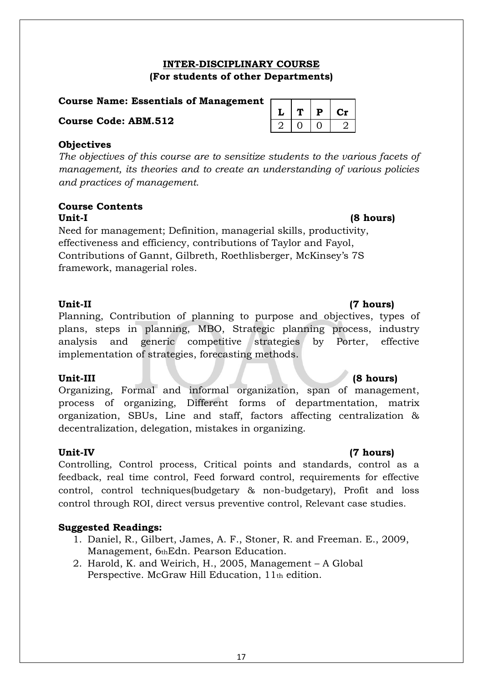### **INTER-DISCIPLINARY COURSE (For students of other Departments)**

#### **Course Name: Essentials of Management**

**Course Code: ABM.512** 

| <b>Objectives</b> |
|-------------------|
|-------------------|

*The objectives of this course are to sensitize students to the various facets of management, its theories and to create an understanding of various policies and practices of management.*

#### **Course Contents Unit-I (8 hours)**

Need for management; Definition, managerial skills, productivity, effectiveness and efficiency, contributions of Taylor and Fayol, Contributions of Gannt, Gilbreth, Roethlisberger, McKinsey's 7S framework, managerial roles.

Planning, Contribution of planning to purpose and objectives, types of plans, steps in planning, MBO, Strategic planning process, industry analysis and generic competitive strategies by Porter, effective implementation of strategies, forecasting methods.

Organizing, Formal and informal organization, span of management, process of organizing, Different forms of departmentation, matrix organization, SBUs, Line and staff, factors affecting centralization & decentralization, delegation, mistakes in organizing.

Controlling, Control process, Critical points and standards, control as a feedback, real time control, Feed forward control, requirements for effective control, control techniques(budgetary & non-budgetary), Profit and loss control through ROI, direct versus preventive control, Relevant case studies.

### **Suggested Readings:**

- 1. Daniel, R., Gilbert, James, A. F., Stoner, R. and Freeman. E., 2009, Management, 6thEdn. Pearson Education.
- 2. Harold, K. and Weirich, H., 2005, Management A Global Perspective. McGraw Hill Education, 11th edition.

|    | Р | Сr               |
|----|---|------------------|
| ., |   | $\boldsymbol{2}$ |

### **Unit-II (7 hours)**

### **Unit-III (8 hours)**

### **Unit-IV (7 hours)**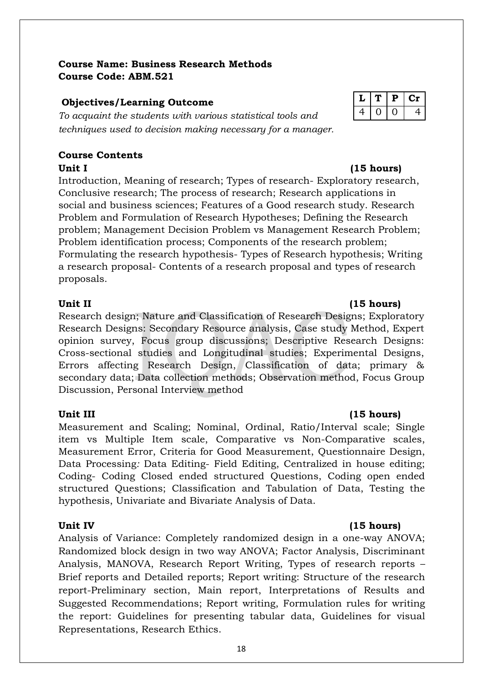#### **Course Name: Business Research Methods Course Code: ABM.521**

### **Objectives/Learning Outcome**

*To acquaint the students with various statistical tools and techniques used to decision making necessary for a manager.*

### **Course Contents**

Unit I (15 hours) Introduction, Meaning of research; Types of research- Exploratory research, Conclusive research; The process of research; Research applications in social and business sciences; Features of a Good research study. Research Problem and Formulation of Research Hypotheses; Defining the Research problem; Management Decision Problem vs Management Research Problem; Problem identification process; Components of the research problem; Formulating the research hypothesis- Types of Research hypothesis; Writing a research proposal- Contents of a research proposal and types of research proposals.

#### Unit II (15 hours)

Research design; Nature and Classification of Research Designs; Exploratory Research Designs: Secondary Resource analysis, Case study Method, Expert opinion survey, Focus group discussions; Descriptive Research Designs: Cross-sectional studies and Longitudinal studies; Experimental Designs, Errors affecting Research Design, Classification of data; primary & secondary data; Data collection methods; Observation method, Focus Group Discussion, Personal Interview method

Measurement and Scaling; Nominal, Ordinal, Ratio/Interval scale; Single item vs Multiple Item scale, Comparative vs Non-Comparative scales, Measurement Error, Criteria for Good Measurement, Questionnaire Design, Data Processing*:* Data Editing- Field Editing, Centralized in house editing; Coding- Coding Closed ended structured Questions, Coding open ended structured Questions; Classification and Tabulation of Data, Testing the hypothesis, Univariate and Bivariate Analysis of Data.

Analysis of Variance: Completely randomized design in a one-way ANOVA; Randomized block design in two way ANOVA; Factor Analysis, Discriminant Analysis, MANOVA, Research Report Writing, Types of research reports – Brief reports and Detailed reports; Report writing: Structure of the research report-Preliminary section, Main report, Interpretations of Results and Suggested Recommendations; Report writing, Formulation rules for writing the report: Guidelines for presenting tabular data, Guidelines for visual Representations, Research Ethics.

|  | D | U. |
|--|---|----|
|  |   |    |

### **Unit III (15 hours)**

### Unit IV (15 hours)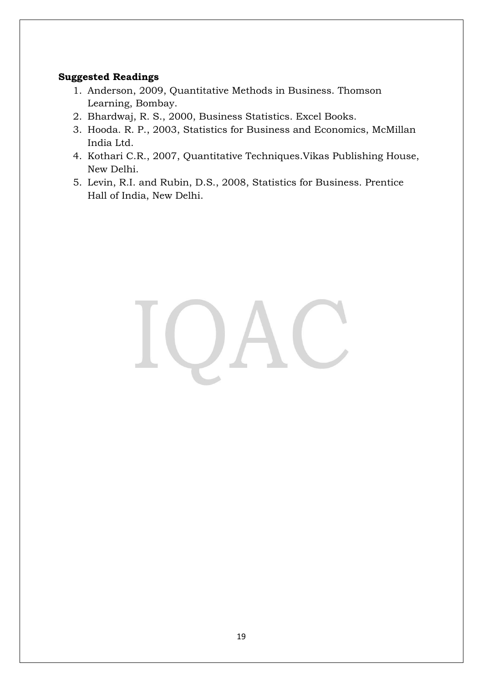#### **Suggested Readings**

- 1. Anderson, 2009, Quantitative Methods in Business. Thomson Learning, Bombay.
- 2. Bhardwaj, R. S., 2000, Business Statistics. Excel Books.
- 3. Hooda. R. P., 2003, Statistics for Business and Economics, McMillan India Ltd.
- 4. Kothari C.R., 2007, Quantitative Techniques.Vikas Publishing House, New Delhi.
- 5. Levin, R.I. and Rubin, D.S., 2008, Statistics for Business. Prentice Hall of India, New Delhi.

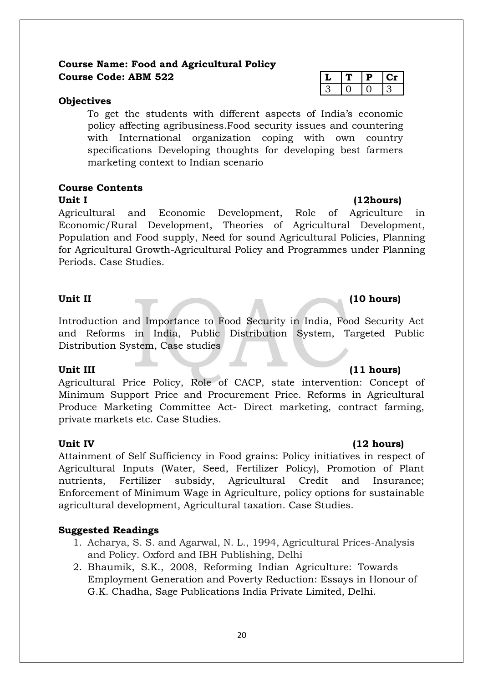### **Course Name: Food and Agricultural Policy Course Code: ABM 522 L T P Cr**

#### **Objectives**

To get the students with different aspects of India's economic policy affecting agribusiness.Food security issues and countering with International organization coping with own country specifications Developing thoughts for developing best farmers marketing context to Indian scenario

### **Course Contents**

#### **Unit I (12hours)**

Agricultural and Economic Development, Role of Agriculture in Economic/Rural Development, Theories of Agricultural Development, Population and Food supply, Need for sound Agricultural Policies, Planning for Agricultural Growth-Agricultural Policy and Programmes under Planning Periods. Case Studies.

#### Unit II (10 hours)

Introduction and Importance to Food Security in India, Food Security Act and Reforms in India, Public Distribution System, Targeted Public Distribution System, Case studies

Agricultural Price Policy, Role of CACP, state intervention: Concept of Minimum Support Price and Procurement Price. Reforms in Agricultural Produce Marketing Committee Act- Direct marketing, contract farming, private markets etc. Case Studies.

Attainment of Self Sufficiency in Food grains: Policy initiatives in respect of Agricultural Inputs (Water, Seed, Fertilizer Policy), Promotion of Plant nutrients, Fertilizer subsidy, Agricultural Credit and Insurance; Enforcement of Minimum Wage in Agriculture, policy options for sustainable agricultural development, Agricultural taxation. Case Studies.

#### **Suggested Readings**

- 1. Acharya, S. S. and Agarwal, N. L., 1994, Agricultural Prices-Analysis and Policy. Oxford and IBH Publishing, Delhi
- 2. Bhaumik, S.K., 2008, Reforming Indian Agriculture: Towards Employment Generation and Poverty Reduction: Essays in Honour of G.K. Chadha, Sage Publications India Private Limited, Delhi.

#### Unit III (11 hours)

#### **Unit IV (12 hours)**

#### 20

## $3 \mid 0 \mid 0 \mid 3$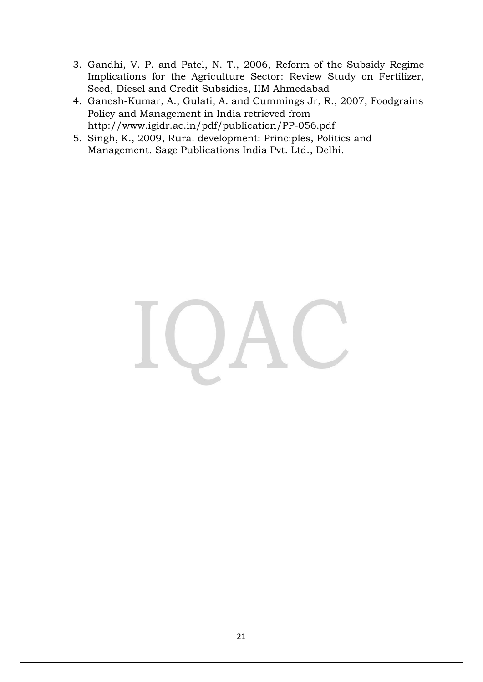- 3. Gandhi, V. P. and Patel, N. T., 2006, Reform of the Subsidy Regime Implications for the Agriculture Sector: Review Study on Fertilizer, Seed, Diesel and Credit Subsidies, IIM Ahmedabad
- 4. Ganesh-Kumar, A., Gulati, A. and Cummings Jr, R., 2007, Foodgrains Policy and Management in India retrieved from http://www.igidr.ac.in/pdf/publication/PP-056.pdf
- 5. Singh, K., 2009, Rural development: Principles, Politics and Management. Sage Publications India Pvt. Ltd., Delhi.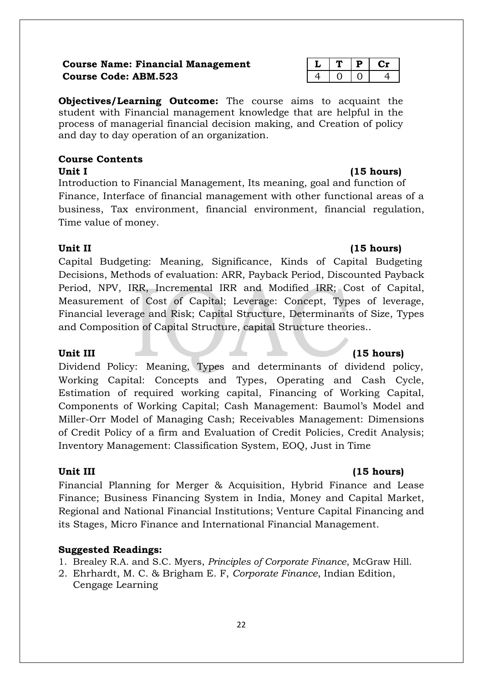### **Course Name: Financial Management Course Code: ABM.523**

**Objectives/Learning Outcome:** The course aims to acquaint the student with Financial management knowledge that are helpful in the process of managerial financial decision making, and Creation of policy and day to day operation of an organization.

### **Course Contents**

#### **Unit I (15 hours)**

Introduction to Financial Management, Its meaning, goal and function of Finance, Interface of financial management with other functional areas of a business, Tax environment, financial environment, financial regulation, Time value of money.

### **Unit II (15 hours)**

Capital Budgeting: Meaning, Significance, Kinds of Capital Budgeting Decisions, Methods of evaluation: ARR, Payback Period, Discounted Payback Period, NPV, IRR, Incremental IRR and Modified IRR; Cost of Capital, Measurement of Cost of Capital; Leverage: Concept, Types of leverage, Financial leverage and Risk; Capital Structure, Determinants of Size, Types and Composition of Capital Structure, capital Structure theories..

Dividend Policy: Meaning, Types and determinants of dividend policy, Working Capital: Concepts and Types, Operating and Cash Cycle, Estimation of required working capital, Financing of Working Capital, Components of Working Capital; Cash Management: Baumol's Model and Miller-Orr Model of Managing Cash; Receivables Management: Dimensions of Credit Policy of a firm and Evaluation of Credit Policies, Credit Analysis; Inventory Management: Classification System, EOQ, Just in Time

### **Unit III (15 hours)**

Financial Planning for Merger & Acquisition, Hybrid Finance and Lease Finance; Business Financing System in India, Money and Capital Market, Regional and National Financial Institutions; Venture Capital Financing and its Stages, Micro Finance and International Financial Management.

### **Suggested Readings:**

- 1. Brealey R.A. and S.C. Myers, *Principles of Corporate Finance*, McGraw Hill.
- 2. Ehrhardt, M. C. & Brigham E. F, *Corporate Finance*, Indian Edition, Cengage Learning

### Unit III (15 hours)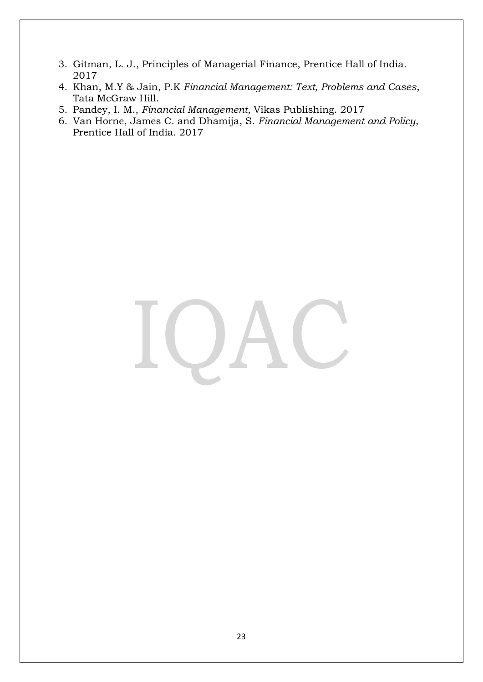- 3. Gitman, L. J., Principles of Managerial Finance, Prentice Hall of India. 2017
- 4. Khan, M.Y & Jain, P.K *Financial Management: Text, Problems and Cases*, Tata McGraw Hill.
- 5. Pandey, I. M., *Financial Management,* Vikas Publishing. 2017
- 6. Van Horne, James C. and Dhamija, S. *Financial Management and Policy*, Prentice Hall of India. 2017

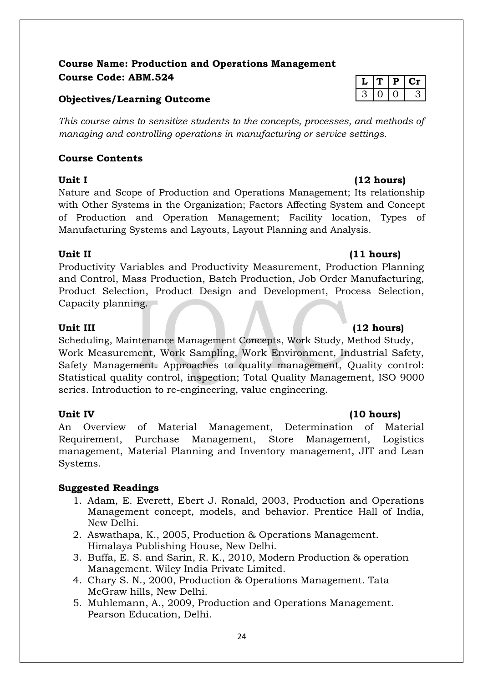### **Course Name: Production and Operations Management**  $Course Code: ABM.524$

#### **Objectives/Learning Outcome**

*This course aims to sensitize students to the concepts, processes, and methods of managing and controlling operations in manufacturing or service settings.*

### **Course Contents**

#### **Unit I (12 hours)**

Nature and Scope of Production and Operations Management; Its relationship with Other Systems in the Organization; Factors Affecting System and Concept of Production and Operation Management; Facility location, Types of Manufacturing Systems and Layouts, Layout Planning and Analysis.

Productivity Variables and Productivity Measurement, Production Planning and Control, Mass Production, Batch Production, Job Order Manufacturing, Product Selection, Product Design and Development, Process Selection, Capacity planning.

#### **Unit III (12 hours)**

Scheduling, Maintenance Management Concepts, Work Study, Method Study, Work Measurement, Work Sampling, Work Environment, Industrial Safety, Safety Management. Approaches to quality management, Quality control: Statistical quality control, inspection; Total Quality Management, ISO 9000 series. Introduction to re-engineering, value engineering.

An Overview of Material Management, Determination of Material Requirement, Purchase Management, Store Management, Logistics management, Material Planning and Inventory management, JIT and Lean Systems.

### **Suggested Readings**

- 1. Adam, E. Everett, Ebert J. Ronald, 2003, Production and Operations Management concept, models, and behavior. Prentice Hall of India, New Delhi.
- 2. Aswathapa, K., 2005, Production & Operations Management. Himalaya Publishing House, New Delhi.
- 3. Buffa, E. S. and Sarin, R. K., 2010, Modern Production & operation Management. Wiley India Private Limited.
- 4. Chary S. N., 2000, Production & Operations Management. Tata McGraw hills, New Delhi.
- 5. Muhlemann, A., 2009, Production and Operations Management. Pearson Education, Delhi.

| - |  |  |
|---|--|--|

### **Unit II (11 hours)**

### Unit IV (10 hours)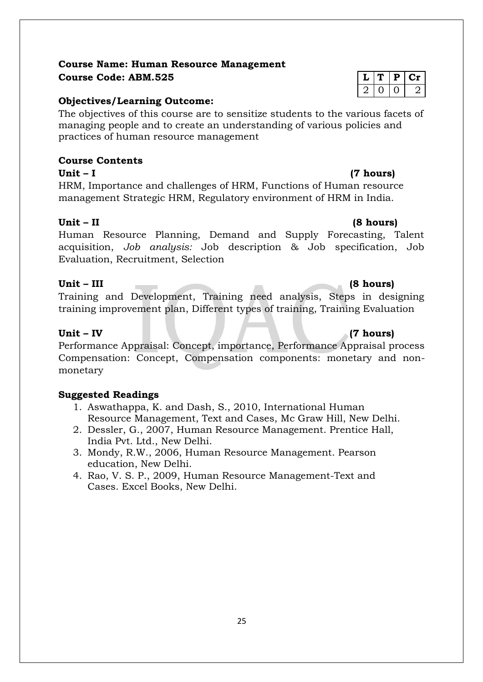### **Course Name: Human Resource Management Course Code: ABM.525 L**  $\vert \textbf{L} \vert \textbf{T} \vert$  **P**  $\vert \textbf{Cr} \vert$

#### **Objectives/Learning Outcome:**

The objectives of this course are to sensitize students to the various facets of managing people and to create an understanding of various policies and practices of human resource management

### **Course Contents**

**Unit – I (7 hours)**  HRM, Importance and challenges of HRM, Functions of Human resource management Strategic HRM, Regulatory environment of HRM in India.

#### **Unit – II (8 hours)**

Human Resource Planning, Demand and Supply Forecasting, Talent acquisition, *Job analysis:* Job description & Job specification, Job Evaluation, Recruitment, Selection

#### **Unit – III (8 hours)**

Training and Development, Training need analysis, Steps in designing training improvement plan, Different types of training, Training Evaluation

#### **Unit – IV (7 hours)**

Performance Appraisal: Concept, importance, Performance Appraisal process Compensation: Concept, Compensation components: monetary and nonmonetary

### **Suggested Readings**

- 1. Aswathappa, K. and Dash, S., 2010, International Human Resource Management, Text and Cases, Mc Graw Hill, New Delhi.
- 2. Dessler, G., 2007, Human Resource Management. Prentice Hall, India Pvt. Ltd., New Delhi.
- 3. Mondy, R.W., 2006, Human Resource Management. Pearson education, New Delhi.
- 4. Rao, V. S. P., 2009, Human Resource Management-Text and Cases. Excel Books, New Delhi.

## 2 0 0 2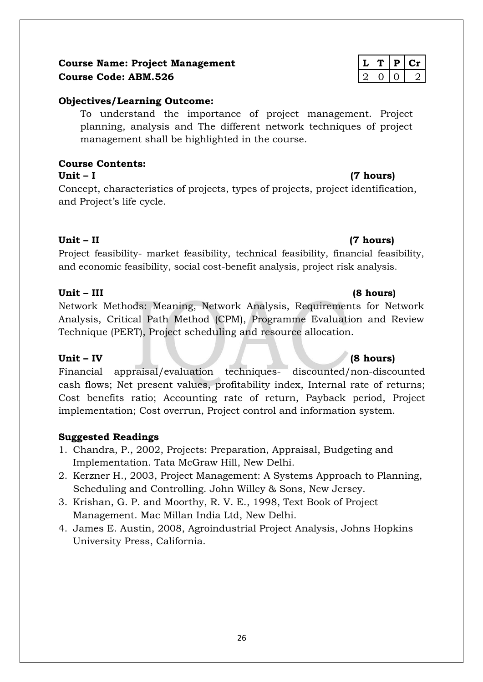### **Course Name: Project Management Course Code: ABM.526**

### **Objectives/Learning Outcome:**

To understand the importance of project management. Project planning, analysis and The different network techniques of project management shall be highlighted in the course.

#### **Course Contents: Unit – I (7 hours)**

Concept, characteristics of projects, types of projects, project identification, and Project's life cycle.

### **Unit – II (7 hours)**

Project feasibility- market feasibility, technical feasibility, financial feasibility, and economic feasibility, social cost-benefit analysis, project risk analysis.

### **Unit – III (8 hours)**

Network Methods: Meaning, Network Analysis, Requirements for Network Analysis, Critical Path Method (CPM), Programme Evaluation and Review Technique (PERT), Project scheduling and resource allocation.

### **Unit – IV (8 hours)**

Financial appraisal/evaluation techniques- discounted/non-discounted cash flows; Net present values, profitability index, Internal rate of returns; Cost benefits ratio; Accounting rate of return, Payback period, Project implementation; Cost overrun, Project control and information system.

### **Suggested Readings**

- 1. Chandra, P., 2002, Projects: Preparation, Appraisal, Budgeting and Implementation. Tata McGraw Hill, New Delhi.
- 2. Kerzner H., 2003, Project Management: A Systems Approach to Planning, Scheduling and Controlling. John Willey & Sons, New Jersey.
- 3. Krishan, G. P. and Moorthy, R. V. E., 1998, Text Book of Project Management. Mac Millan India Ltd, New Delhi.
- 4. James E. Austin, 2008, Agroindustrial Project Analysis, Johns Hopkins University Press, California.

|  | ш |  |
|--|---|--|
|  |   |  |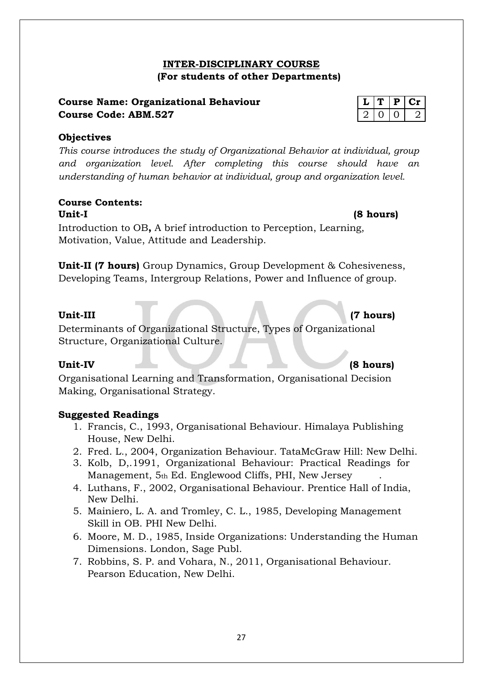### 27

### **INTER-DISCIPLINARY COURSE (For students of other Departments)**

### **Course Name: Organizational Behaviour Course Code: ABM.527**

### **Objectives**

*This course introduces the study of Organizational Behavior at individual, group and organization level. After completing this course should have an understanding of human behavior at individual, group and organization level.*

#### **Course Contents: Unit-I (8 hours)**

Introduction to OB**,** A brief introduction to Perception, Learning, Motivation, Value, Attitude and Leadership.

**Unit-II (7 hours)** Group Dynamics, Group Development & Cohesiveness, Developing Teams, Intergroup Relations, Power and Influence of group.

#### **Unit-III (7 hours)**

Determinants of Organizational Structure, Types of Organizational Structure, Organizational Culture.

### **Unit-IV (8 hours)**

Organisational Learning and Transformation, Organisational Decision Making, Organisational Strategy.

### **Suggested Readings**

- 1. Francis, C., 1993, Organisational Behaviour. Himalaya Publishing House, New Delhi.
- 2. Fred. L., 2004, Organization Behaviour. TataMcGraw Hill: New Delhi.
- 3. Kolb, D,.1991, Organizational Behaviour: Practical Readings for Management, 5th Ed. Englewood Cliffs, PHI, New Jersey
- 4. Luthans, F., 2002, Organisational Behaviour. Prentice Hall of India, New Delhi.
- 5. Mainiero, L. A. and Tromley, C. L., 1985, Developing Management Skill in OB. PHI New Delhi.
- 6. Moore, M. D., 1985, Inside Organizations: Understanding the Human Dimensions. London, Sage Publ.
- 7. Robbins, S. P. and Vohara, N., 2011, Organisational Behaviour. Pearson Education, New Delhi.

|  | υ |  |
|--|---|--|
|  |   |  |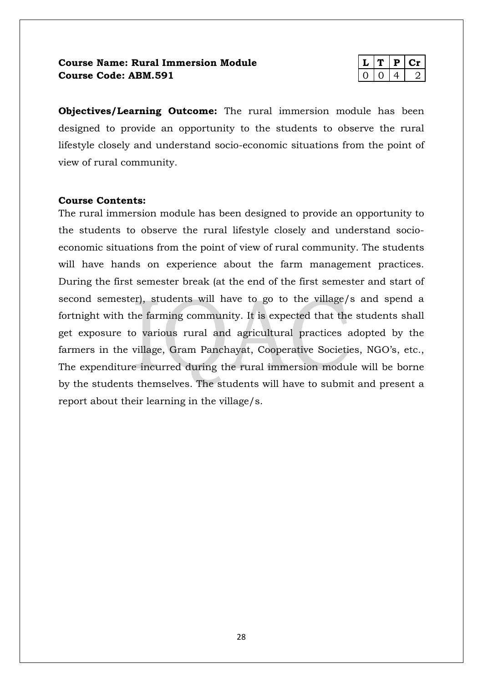### **Course Name: Rural Immersion Module Course Code: ABM.591**

|  | н |  |
|--|---|--|
|  |   |  |

**Objectives/Learning Outcome:** The rural immersion module has been designed to provide an opportunity to the students to observe the rural lifestyle closely and understand socio-economic situations from the point of view of rural community.

#### **Course Contents:**

The rural immersion module has been designed to provide an opportunity to the students to observe the rural lifestyle closely and understand socioeconomic situations from the point of view of rural community. The students will have hands on experience about the farm management practices. During the first semester break (at the end of the first semester and start of second semester), students will have to go to the village/s and spend a fortnight with the farming community. It is expected that the students shall get exposure to various rural and agricultural practices adopted by the farmers in the village, Gram Panchayat, Cooperative Societies, NGO's, etc., The expenditure incurred during the rural immersion module will be borne by the students themselves. The students will have to submit and present a report about their learning in the village/s.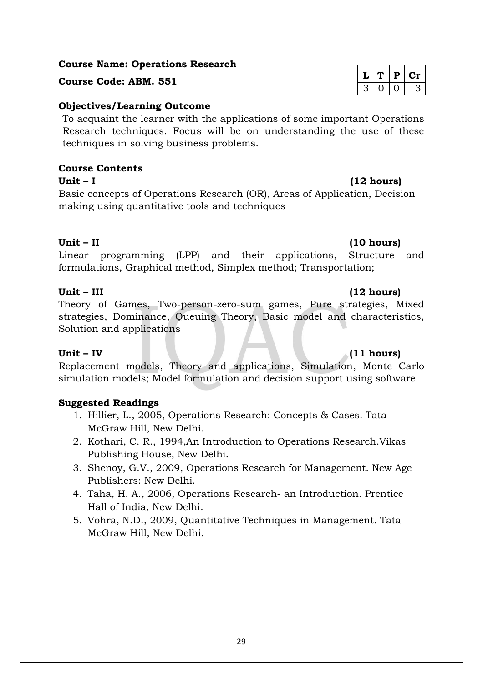### **Course Name: Operations Research**

**<sup>L</sup> <sup>T</sup> <sup>P</sup> Cr Course Code: ABM. 551**

### **Objectives/Learning Outcome**

To acquaint the learner with the applications of some important Operations Research techniques. Focus will be on understanding the use of these techniques in solving business problems.

### **Course Contents**

Unit – I (12 hours)

Basic concepts of Operations Research (OR), Areas of Application, Decision making using quantitative tools and techniques

### **Unit – II (10 hours)**

Linear programming (LPP) and their applications, Structure and formulations, Graphical method, Simplex method; Transportation;

Theory of Games, Two-person-zero-sum games, Pure strategies, Mixed strategies, Dominance, Queuing Theory, Basic model and characteristics, Solution and applications

### **Unit – IV (11 hours)**

Replacement models, Theory and applications, Simulation, Monte Carlo simulation models; Model formulation and decision support using software

### **Suggested Readings**

- 1. Hillier, L., 2005, Operations Research: Concepts & Cases. Tata McGraw Hill, New Delhi.
- 2. Kothari, C. R., 1994,An Introduction to Operations Research.Vikas Publishing House, New Delhi.
- 3. Shenoy, G.V., 2009, Operations Research for Management. New Age Publishers: New Delhi.
- 4. Taha, H. A., 2006, Operations Research- an Introduction. Prentice Hall of India, New Delhi.
- 5. Vohra, N.D., 2009, Quantitative Techniques in Management. Tata McGraw Hill, New Delhi.

|  | в. |  |
|--|----|--|
|  |    |  |

### **Unit – III (12 hours)**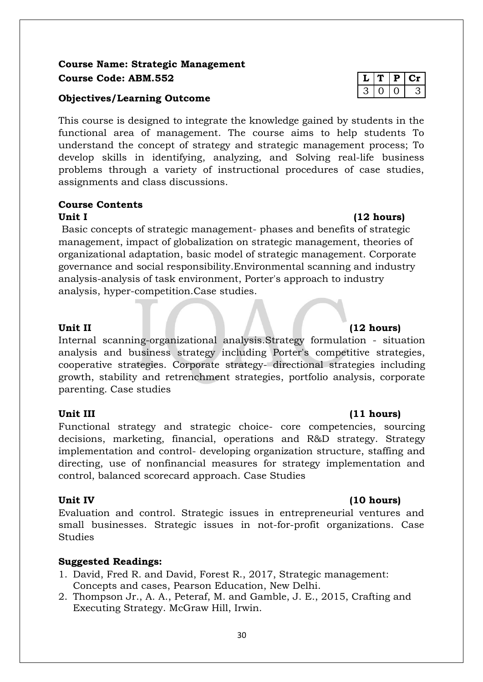### **Course Name: Strategic Management**  $C$ **Ourse Code: ABM.552**

#### **Objectives/Learning Outcome**

This course is designed to integrate the knowledge gained by students in the functional area of management. The course aims to help students To understand the concept of strategy and strategic management process; To develop skills in identifying, analyzing, and Solving real-life business problems through a variety of instructional procedures of case studies, assignments and class discussions.

### **Course Contents**

#### Unit I (12 hours)

Basic concepts of strategic management- phases and benefits of strategic management, impact of globalization on strategic management, theories of organizational adaptation, basic model of strategic management. Corporate governance and social responsibility.Environmental scanning and industry analysis-analysis of task environment, Porter's approach to industry analysis, hyper-competition.Case studies.

Internal scanning-organizational analysis.Strategy formulation - situation analysis and business strategy including Porter's competitive strategies, cooperative strategies. Corporate strategy- directional strategies including growth, stability and retrenchment strategies, portfolio analysis, corporate parenting. Case studies

#### **Unit III (11 hours)**

Functional strategy and strategic choice- core competencies, sourcing decisions, marketing, financial, operations and R&D strategy. Strategy implementation and control- developing organization structure, staffing and directing, use of nonfinancial measures for strategy implementation and control, balanced scorecard approach. Case Studies

Evaluation and control. Strategic issues in entrepreneurial ventures and small businesses. Strategic issues in not-for-profit organizations. Case **Studies** 

### **Suggested Readings:**

- 1. David, Fred R. and David, Forest R., 2017, Strategic management: Concepts and cases, Pearson Education, New Delhi.
- 2. Thompson Jr., A. A., Peteraf, M. and Gamble, J. E., 2015, Crafting and Executing Strategy. McGraw Hill, Irwin.

|   | ዔ |  |
|---|---|--|
| - |   |  |

### **Unit II (12 hours)**

### Unit IV (10 hours)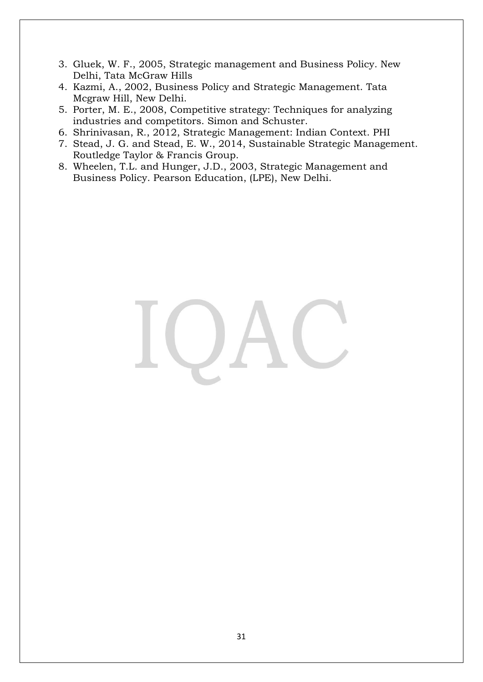- 3. Gluek, W. F., 2005, Strategic management and Business Policy. New Delhi, Tata McGraw Hills
- 4. Kazmi, A., 2002, Business Policy and Strategic Management. Tata Mcgraw Hill, New Delhi.
- 5. Porter, M. E., 2008, Competitive strategy: Techniques for analyzing industries and competitors. Simon and Schuster.
- 6. Shrinivasan, R., 2012, Strategic Management: Indian Context. PHI
- 7. Stead, J. G. and Stead, E. W., 2014, Sustainable Strategic Management. Routledge Taylor & Francis Group.
- 8. Wheelen, T.L. and Hunger, J.D., 2003, Strategic Management and Business Policy. Pearson Education, (LPE), New Delhi.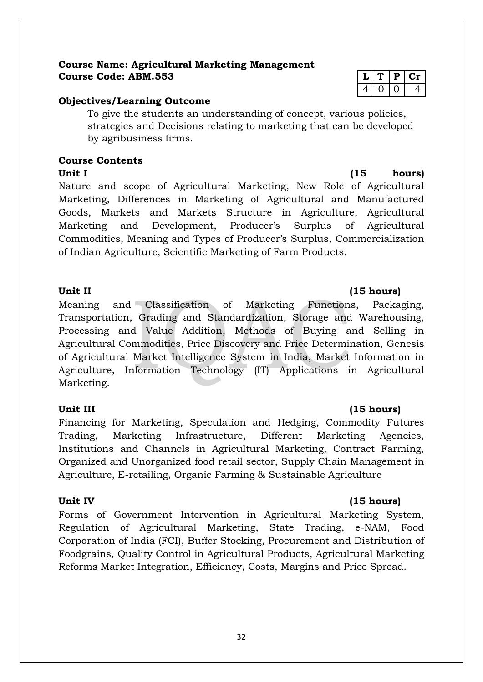#### **Course Name: Agricultural Marketing Management**  $Course Code: ABM.553$

### **Objectives/Learning Outcome**

To give the students an understanding of concept, various policies, strategies and Decisions relating to marketing that can be developed by agribusiness firms.

#### **Course Contents Unit I** (15 hours)

Nature and scope of Agricultural Marketing, New Role of Agricultural Marketing, Differences in Marketing of Agricultural and Manufactured Goods, Markets and Markets Structure in Agriculture, Agricultural Marketing and Development, Producer's Surplus of Agricultural Commodities, Meaning and Types of Producer's Surplus, Commercialization of Indian Agriculture, Scientific Marketing of Farm Products.

Meaning and Classification of Marketing Functions, Packaging, Transportation, Grading and Standardization, Storage and Warehousing, Processing and Value Addition, Methods of Buying and Selling in Agricultural Commodities, Price Discovery and Price Determination, Genesis of Agricultural Market Intelligence System in India, Market Information in Agriculture, Information Technology (IT) Applications in Agricultural Marketing.

### **Unit III (15 hours)**

Financing for Marketing, Speculation and Hedging, Commodity Futures Trading, Marketing Infrastructure, Different Marketing Agencies, Institutions and Channels in Agricultural Marketing, Contract Farming, Organized and Unorganized food retail sector, Supply Chain Management in Agriculture, E-retailing, Organic Farming & Sustainable Agriculture

### Unit IV (15 hours)

Forms of Government Intervention in Agricultural Marketing System, Regulation of Agricultural Marketing, State Trading, e-NAM, Food Corporation of India (FCI), Buffer Stocking, Procurement and Distribution of Foodgrains, Quality Control in Agricultural Products, Agricultural Marketing Reforms Market Integration, Efficiency, Costs, Margins and Price Spread.

|   | D |     |
|---|---|-----|
| ↩ |   | . . |

### Unit II (15 hours)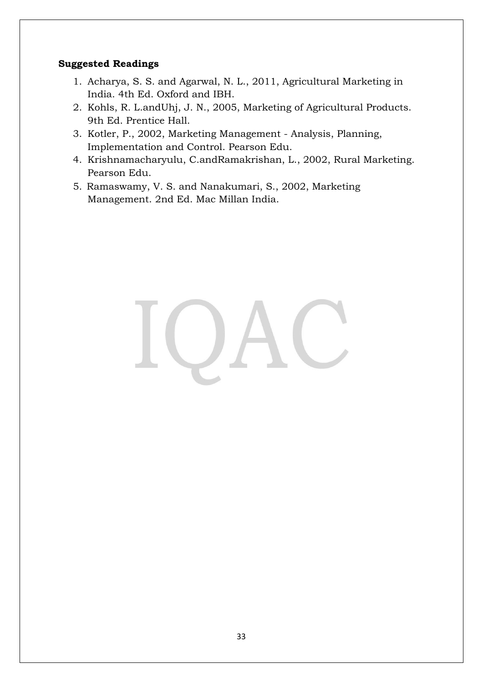### **Suggested Readings**

- 1. Acharya, S. S. and Agarwal, N. L., 2011, Agricultural Marketing in India. 4th Ed. Oxford and IBH.
- 2. Kohls, R. L.andUhj, J. N., 2005, Marketing of Agricultural Products. 9th Ed. Prentice Hall.
- 3. Kotler, P., 2002, Marketing Management Analysis, Planning, Implementation and Control. Pearson Edu.
- 4. Krishnamacharyulu, C.andRamakrishan, L., 2002, Rural Marketing. Pearson Edu.
- 5. Ramaswamy, V. S. and Nanakumari, S., 2002, Marketing Management. 2nd Ed. Mac Millan India.

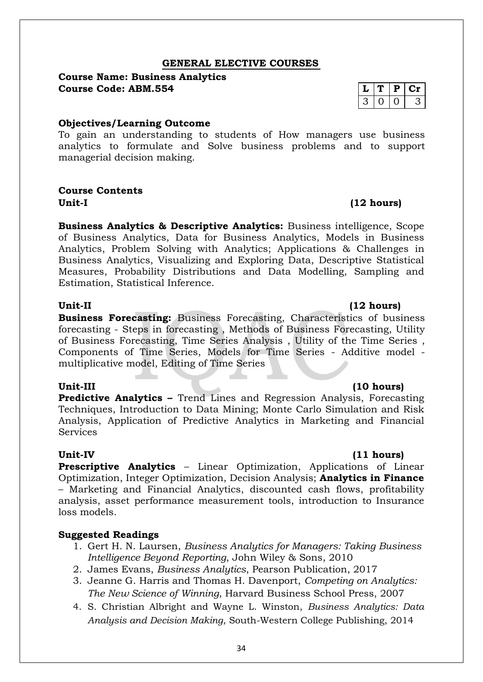#### **GENERAL ELECTIVE COURSES**

#### **Course Name: Business Analytics**  $Course Code: ABM.554$

#### **Objectives/Learning Outcome**

To gain an understanding to students of How managers use business analytics to formulate and Solve business problems and to support managerial decision making.

#### **Course Contents Unit-I (12 hours)**

**Business Analytics & Descriptive Analytics:** Business intelligence, Scope of Business Analytics, Data for Business Analytics, Models in Business Analytics, Problem Solving with Analytics; Applications & Challenges in Business Analytics, Visualizing and Exploring Data, Descriptive Statistical Measures, Probability Distributions and Data Modelling, Sampling and Estimation, Statistical Inference.

**Business Forecasting:** Business Forecasting, Characteristics of business forecasting - Steps in forecasting , Methods of Business Forecasting, Utility of Business Forecasting, Time Series Analysis , Utility of the Time Series , Components of Time Series, Models for Time Series - Additive model multiplicative model, Editing of Time Series

#### **Unit-III (10 hours)**

**Predictive Analytics –** Trend Lines and Regression Analysis, Forecasting Techniques, Introduction to Data Mining; Monte Carlo Simulation and Risk Analysis, Application of Predictive Analytics in Marketing and Financial **Services** 

#### **Unit-IV (11 hours)**

**Prescriptive Analytics –** Linear Optimization, Applications of Linear Optimization, Integer Optimization, Decision Analysis; **Analytics in Finance** – Marketing and Financial Analytics, discounted cash flows, profitability analysis, asset performance measurement tools, introduction to Insurance loss models.

#### **Suggested Readings**

- 1. Gert H. N. Laursen, *Business Analytics for Managers: Taking Business Intelligence Beyond Reporting*, John Wiley & Sons, 2010
- 2. James Evans, *Business Analytics*, Pearson Publication, 2017
- 3. Jeanne G. Harris and Thomas H. Davenport, *Competing on Analytics: The New Science of Winning*, Harvard Business School Press, 2007
- 4. S. Christian Albright and Wayne L. Winston, *Business Analytics: Data Analysis and Decision Making*, South-Western College Publishing, 2014

|  | α | L |
|--|---|---|
|  |   |   |

### **Unit-II (12 hours)**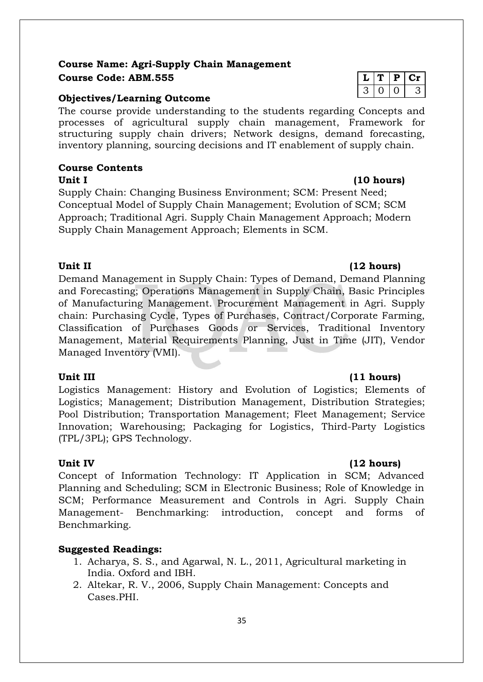### **Course Name: Agri-Supply Chain Management Course Code: ABM.555 L T P Cr**

#### **Objectives/Learning Outcome**

The course provide understanding to the students regarding Concepts and processes of agricultural supply chain management, Framework for structuring supply chain drivers; Network designs, demand forecasting, inventory planning, sourcing decisions and IT enablement of supply chain.

#### **Course Contents** Unit I (10 hours)

Supply Chain: Changing Business Environment; SCM: Present Need; Conceptual Model of Supply Chain Management; Evolution of SCM; SCM Approach; Traditional Agri. Supply Chain Management Approach; Modern Supply Chain Management Approach; Elements in SCM.

#### **Unit II (12 hours)**

Demand Management in Supply Chain: Types of Demand, Demand Planning and Forecasting; Operations Management in Supply Chain, Basic Principles of Manufacturing Management. Procurement Management in Agri. Supply chain: Purchasing Cycle, Types of Purchases, Contract/Corporate Farming, Classification of Purchases Goods or Services, Traditional Inventory Management, Material Requirements Planning, Just in Time (JIT), Vendor Managed Inventory (VMI).

Logistics Management: History and Evolution of Logistics; Elements of Logistics; Management; Distribution Management, Distribution Strategies; Pool Distribution; Transportation Management; Fleet Management; Service Innovation; Warehousing; Packaging for Logistics, Third-Party Logistics (TPL/3PL); GPS Technology.

Concept of Information Technology: IT Application in SCM; Advanced Planning and Scheduling; SCM in Electronic Business; Role of Knowledge in SCM; Performance Measurement and Controls in Agri. Supply Chain Management- Benchmarking: introduction, concept and forms of Benchmarking.

### **Suggested Readings:**

- 1. Acharya, S. S., and Agarwal, N. L., 2011, Agricultural marketing in India. Oxford and IBH.
- 2. Altekar, R. V., 2006, Supply Chain Management: Concepts and Cases.PHI.

#### **Unit III (11 hours)**

### Unit IV (12 hours)

## $3 | 0 | 0 | 3$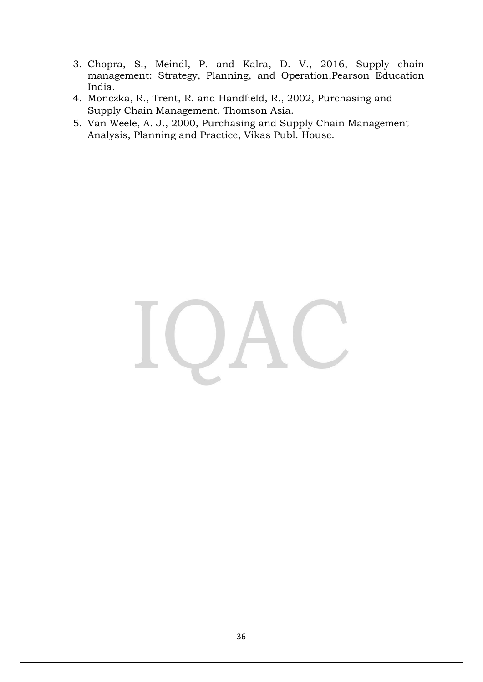- 3. Chopra, S., Meindl, P. and Kalra, D. V., 2016, Supply chain management: Strategy, Planning, and Operation,Pearson Education India.
- 4. Monczka, R., Trent, R. and Handfield, R., 2002, Purchasing and Supply Chain Management. Thomson Asia.
- 5. Van Weele, A. J., 2000, Purchasing and Supply Chain Management Analysis, Planning and Practice, Vikas Publ. House.

# $\bigcup$  $\overline{\phantom{a}}$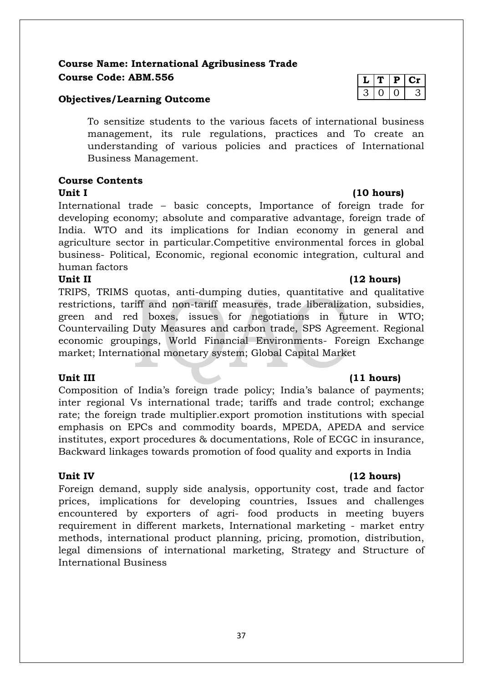### **Course Name: International Agribusiness Trade**  $C$ **Ourse Code: ABM.556**

#### **Objectives/Learning Outcome**

To sensitize students to the various facets of international business management, its rule regulations, practices and To create an understanding of various policies and practices of International Business Management.

#### **Course Contents Unit I (10 hours)**

International trade – basic concepts, Importance of foreign trade for developing economy; absolute and comparative advantage, foreign trade of India. WTO and its implications for Indian economy in general and agriculture sector in particular.Competitive environmental forces in global business- Political, Economic, regional economic integration, cultural and human factors

#### Unit II (12 hours)

TRIPS, TRIMS quotas, anti-dumping duties, quantitative and qualitative restrictions, tariff and non-tariff measures, trade liberalization, subsidies, green and red boxes, issues for negotiations in future in WTO; Countervailing Duty Measures and carbon trade, SPS Agreement. Regional economic groupings, World Financial Environments- Foreign Exchange market; International monetary system; Global Capital Market

Composition of India's foreign trade policy; India's balance of payments; inter regional Vs international trade; tariffs and trade control; exchange rate; the foreign trade multiplier.export promotion institutions with special emphasis on EPCs and commodity boards, MPEDA, APEDA and service institutes, export procedures & documentations, Role of ECGC in insurance, Backward linkages towards promotion of food quality and exports in India

Foreign demand, supply side analysis, opportunity cost, trade and factor prices, implications for developing countries, Issues and challenges encountered by exporters of agri- food products in meeting buyers requirement in different markets, International marketing - market entry methods, international product planning, pricing, promotion, distribution, legal dimensions of international marketing, Strategy and Structure of International Business

|  | н |  |
|--|---|--|
|  |   |  |

#### **Unit III (11 hours)**

#### Unit IV (12 hours)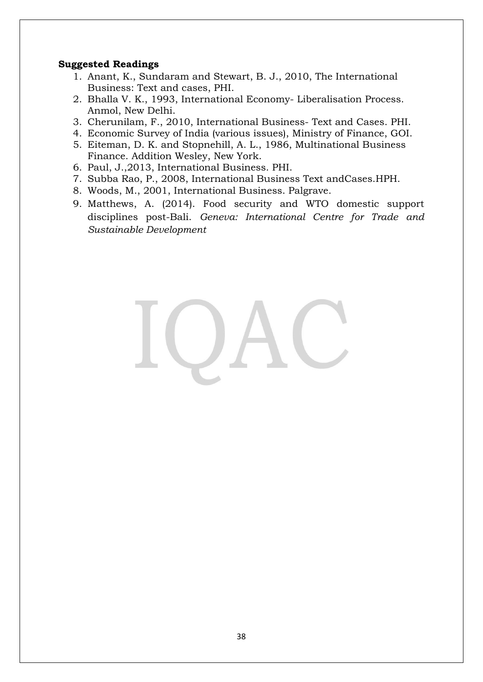#### **Suggested Readings**

- 1. Anant, K., Sundaram and Stewart, B. J., 2010, The International Business: Text and cases, PHI.
- 2. Bhalla V. K., 1993, International Economy- Liberalisation Process. Anmol, New Delhi.
- 3. Cherunilam, F., 2010, International Business- Text and Cases. PHI.
- 4. Economic Survey of India (various issues), Ministry of Finance, GOI.
- 5. Eiteman, D. K. and Stopnehill, A. L., 1986, Multinational Business Finance. Addition Wesley, New York.
- 6. Paul, J.,2013, International Business. PHI.
- 7. Subba Rao, P., 2008, International Business Text andCases.HPH.
- 8. Woods, M., 2001, International Business. Palgrave.
- 9. Matthews, A. (2014). Food security and WTO domestic support disciplines post-Bali. *Geneva: International Centre for Trade and Sustainable Development*

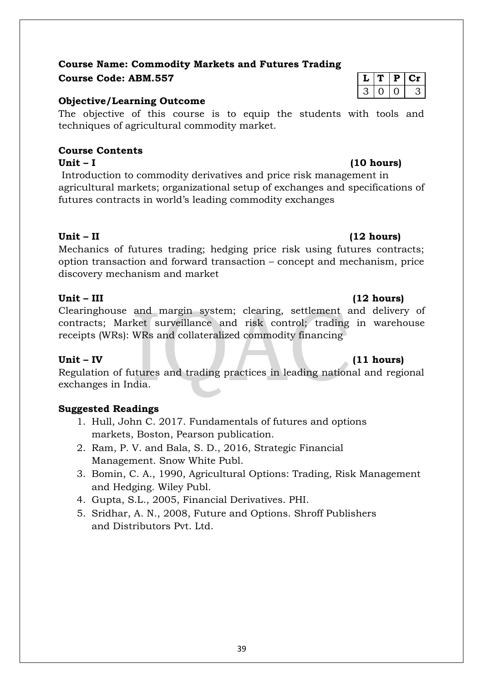### **Course Name: Commodity Markets and Futures Trading Course Code: ABM.557 L T P Cr**

### **Objective/Learning Outcome**

The objective of this course is to equip the students with tools and techniques of agricultural commodity market.

#### **Course Contents Unit – I (10 hours)**

Introduction to commodity derivatives and price risk management in agricultural markets; organizational setup of exchanges and specifications of futures contracts in world's leading commodity exchanges

### **Unit – II (12 hours)**

Mechanics of futures trading; hedging price risk using futures contracts; option transaction and forward transaction – concept and mechanism, price discovery mechanism and market

### **Unit – III (12 hours)**

Clearinghouse and margin system; clearing, settlement and delivery of contracts; Market surveillance and risk control; trading in warehouse receipts (WRs): WRs and collateralized commodity financing

Regulation of futures and trading practices in leading national and regional exchanges in India.

### **Suggested Readings**

- 1. Hull, John C. 2017. Fundamentals of futures and options markets, Boston, Pearson publication.
- 2. Ram, P. V. and Bala, S. D., 2016, Strategic Financial Management. Snow White Publ.
- 3. Bomin, C. A., 1990, Agricultural Options: Trading, Risk Management and Hedging. Wiley Publ.
- 4. Gupta, S.L., 2005, Financial Derivatives. PHI.
- 5. Sridhar, A. N., 2008, Future and Options. Shroff Publishers and Distributors Pvt. Ltd.

# $0 1 0 3$

### **Unit – IV (11 hours)**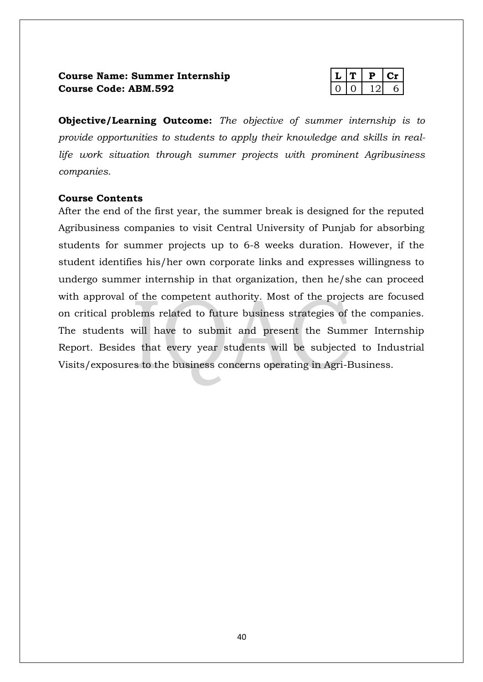### **Course Name: Summer Internship Course Code: ABM.592**

|  | υ |  |
|--|---|--|
|  |   |  |

**Objective/Learning Outcome:** *The objective of summer internship is to provide opportunities to students to apply their knowledge and skills in reallife work situation through summer projects with prominent Agribusiness companies.*

#### **Course Contents**

After the end of the first year, the summer break is designed for the reputed Agribusiness companies to visit Central University of Punjab for absorbing students for summer projects up to 6-8 weeks duration. However, if the student identifies his/her own corporate links and expresses willingness to undergo summer internship in that organization, then he/she can proceed with approval of the competent authority. Most of the projects are focused on critical problems related to future business strategies of the companies. The students will have to submit and present the Summer Internship Report. Besides that every year students will be subjected to Industrial Visits/exposures to the business concerns operating in Agri-Business.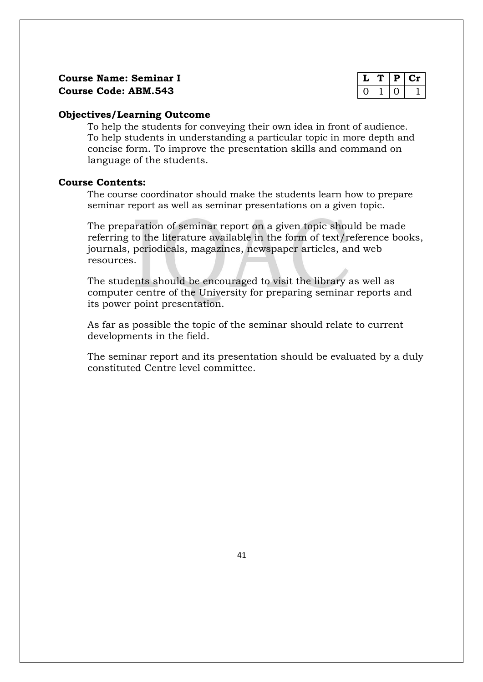#### **Objectives/Learning Outcome**

To help the students for conveying their own idea in front of audience. To help students in understanding a particular topic in more depth and concise form. To improve the presentation skills and command on language of the students.

#### **Course Contents:**

The course coordinator should make the students learn how to prepare seminar report as well as seminar presentations on a given topic.

The preparation of seminar report on a given topic should be made referring to the literature available in the form of text/reference books, journals, periodicals, magazines, newspaper articles, and web resources.

The students should be encouraged to visit the library as well as computer centre of the University for preparing seminar reports and its power point presentation.

As far as possible the topic of the seminar should relate to current developments in the field.

The seminar report and its presentation should be evaluated by a duly constituted Centre level committee.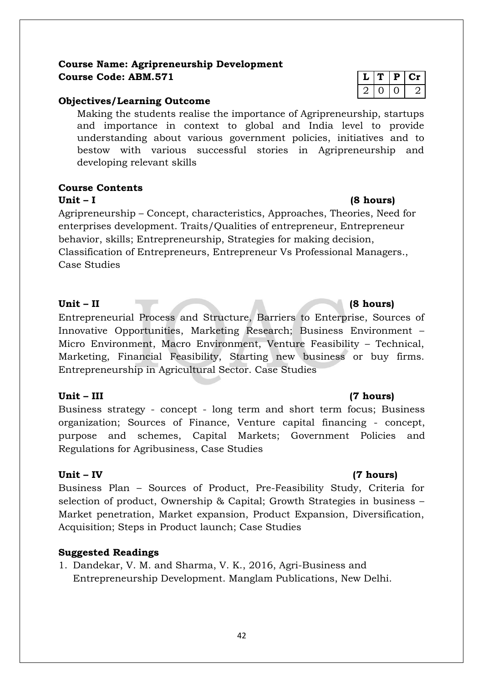### **Course Name: Agripreneurship Development**  $Course Code: ABM.571$

#### **Objectives/Learning Outcome**

Making the students realise the importance of Agripreneurship, startups and importance in context to global and India level to provide understanding about various government policies, initiatives and to bestow with various successful stories in Agripreneurship and developing relevant skills

#### **Course Contents**

#### **Unit – I (8 hours)**

Agripreneurship – Concept, characteristics, Approaches, Theories, Need for enterprises development. Traits/Qualities of entrepreneur, Entrepreneur behavior, skills; Entrepreneurship, Strategies for making decision, Classification of Entrepreneurs, Entrepreneur Vs Professional Managers., Case Studies

#### **Unit – II (8 hours)**

Entrepreneurial Process and Structure, Barriers to Enterprise, Sources of Innovative Opportunities, Marketing Research; Business Environment – Micro Environment, Macro Environment, Venture Feasibility – Technical, Marketing, Financial Feasibility, Starting new business or buy firms. Entrepreneurship in Agricultural Sector. Case Studies

#### **Unit – III (7 hours)**

Business strategy - concept - long term and short term focus; Business organization; Sources of Finance, Venture capital financing - concept, purpose and schemes, Capital Markets; Government Policies and Regulations for Agribusiness, Case Studies

Business Plan – Sources of Product, Pre-Feasibility Study, Criteria for selection of product, Ownership & Capital; Growth Strategies in business – Market penetration, Market expansion, Product Expansion, Diversification, Acquisition; Steps in Product launch; Case Studies

### **Suggested Readings**

1. Dandekar, V. M. and Sharma, V. K., 2016, Agri-Business and Entrepreneurship Development. Manglam Publications, New Delhi.

|  | ш |  |
|--|---|--|
|  |   |  |

#### **Unit – IV (7 hours)**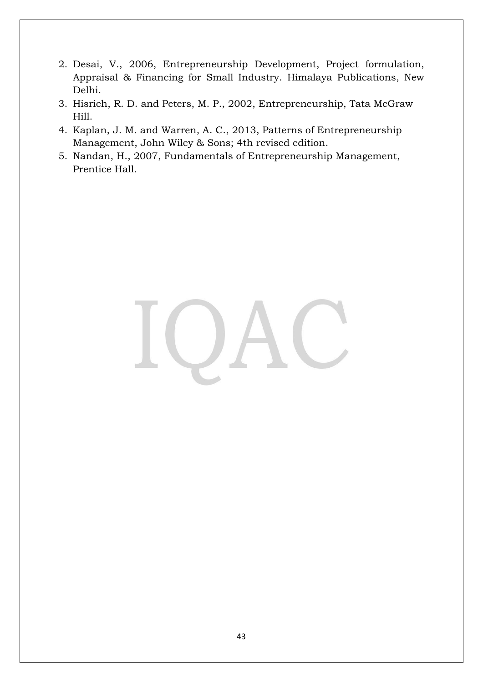- 2. Desai, V., 2006, Entrepreneurship Development, Project formulation, Appraisal & Financing for Small Industry. Himalaya Publications, New Delhi.
- 3. Hisrich, R. D. and Peters, M. P., 2002, Entrepreneurship, Tata McGraw Hill.
- 4. Kaplan, J. M. and Warren, A. C., 2013, Patterns of Entrepreneurship Management, John Wiley & Sons; 4th revised edition.
- 5. Nandan, H., 2007, Fundamentals of Entrepreneurship Management, Prentice Hall.

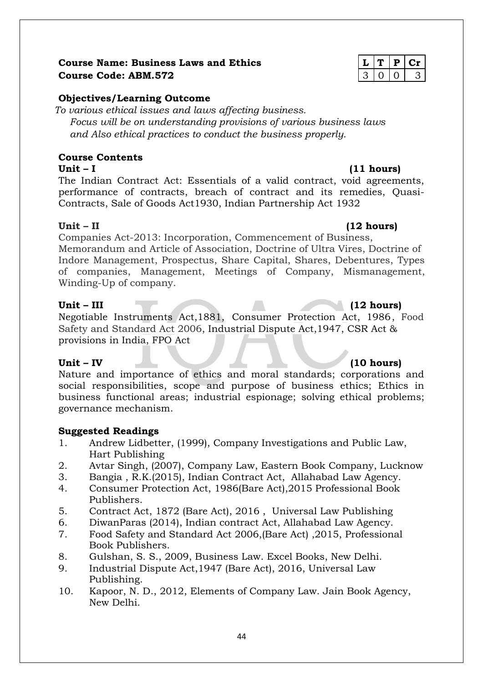#### **Course Name: Business Laws and Ethics Let all 1 Example 1 L** | **T** | **P** | **Cr Course Code: ABM.572** 3 0 0 3

#### **Objectives/Learning Outcome**

*To various ethical issues and laws affecting business. Focus will be on understanding provisions of various business laws and Also ethical practices to conduct the business properly.*

### **Course Contents**

**Unit – I (11 hours)** The Indian Contract Act: Essentials of a valid contract, void agreements, performance of contracts, breach of contract and its remedies, Quasi-Contracts, Sale of Goods Act1930, Indian Partnership Act 1932

#### **Unit – II (12 hours)**

Companies Act-2013: Incorporation, Commencement of Business, Memorandum and Article of Association, Doctrine of Ultra Vires, Doctrine of Indore Management, Prospectus, Share Capital, Shares, Debentures, Types of companies, Management, Meetings of Company, Mismanagement, Winding-Up of company.

#### **Unit – III (12 hours)**

Negotiable Instruments Act,1881, Consumer Protection Act, 1986, Food Safety and Standard Act 2006, Industrial Dispute Act,1947, CSR Act & provisions in India, FPO Act

Nature and importance of ethics and moral standards; corporations and social responsibilities, scope and purpose of business ethics; Ethics in business functional areas; industrial espionage; solving ethical problems; governance mechanism.

### **Suggested Readings**

- 1. Andrew Lidbetter, (1999), Company Investigations and Public Law, Hart Publishing
- 2. Avtar Singh, (2007), Company Law, Eastern Book Company, Lucknow
- 3. Bangia , R.K.(2015), Indian Contract Act, Allahabad Law Agency.
- 4. Consumer Protection Act, 1986(Bare Act),2015 Professional Book Publishers.
- 5. Contract Act, 1872 (Bare Act), 2016 , [Universal Law Publishing](https://www.amazon.in/s/ref=dp_byline_sr_book_1?ie=UTF8&field-author=Universal+Law+Publishing&search-alias=stripbooks)
- 6. DiwanParas (2014), Indian contract Act, Allahabad Law Agency.
- 7. Food Safety and Standard Act 2006,(Bare Act) ,2015, Professional Book Publishers.
- 8. Gulshan, S. S., 2009, Business Law. Excel Books, New Delhi.
- 9. Industrial Dispute Act,1947 (Bare Act), 2016, [Universal Law](https://www.amazon.in/s/ref=dp_byline_sr_book_1?ie=UTF8&field-author=Universal+Law+Publishing&search-alias=stripbooks) [Publishing.](https://www.amazon.in/s/ref=dp_byline_sr_book_1?ie=UTF8&field-author=Universal+Law+Publishing&search-alias=stripbooks)
- 10. Kapoor, N. D., 2012, Elements of Company Law. Jain Book Agency, New Delhi.

### **Unit – IV (10 hours)**

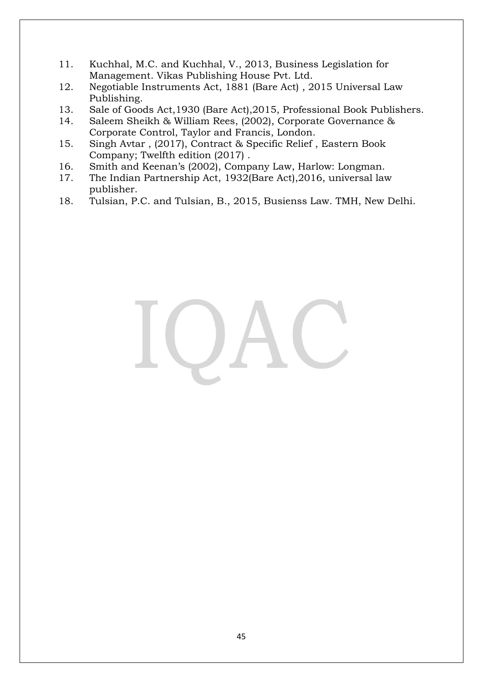- 11. Kuchhal, M.C. and Kuchhal, V., 2013, Business Legislation for Management. Vikas Publishing House Pvt. Ltd.
- 12. Negotiable Instruments Act, 1881 (Bare Act) , 2015 [Universal Law](https://www.amazon.in/s/ref=dp_byline_sr_book_1?ie=UTF8&field-author=Universal+Law+Publishing&search-alias=stripbooks) [Publishing.](https://www.amazon.in/s/ref=dp_byline_sr_book_1?ie=UTF8&field-author=Universal+Law+Publishing&search-alias=stripbooks)
- 13. Sale of Goods Act,1930 (Bare Act),2015, Professional Book Publishers.
- 14. Saleem Sheikh & William Rees, (2002), Corporate Governance & Corporate Control, Taylor and Francis, London.
- 15. Singh Avtar , (2017), Contract & Specific Relief , Eastern Book Company; Twelfth edition (2017) .
- 16. Smith and Keenan's (2002), Company Law, Harlow: Longman.
- 17. The Indian Partnership Act, 1932(Bare Act),2016, universal law publisher.
- 18. Tulsian, P.C. and Tulsian, B., 2015, Busienss Law. TMH, New Delhi.

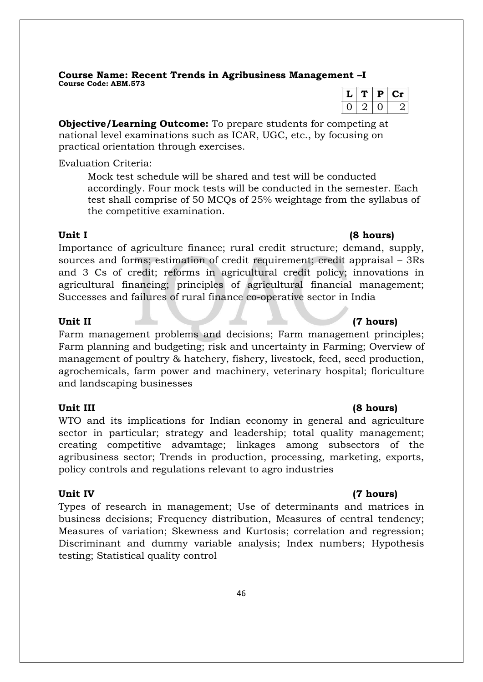**Course Name: Recent Trends in Agribusiness Management –I Course Code: ABM.573**

 $L$   $T$   $P$   $C$ **r**  $0 | 2 | 0 | 2$ 

**Objective/Learning Outcome:** To prepare students for competing at national level examinations such as ICAR, UGC, etc., by focusing on practical orientation through exercises.

Evaluation Criteria:

Mock test schedule will be shared and test will be conducted accordingly. Four mock tests will be conducted in the semester. Each test shall comprise of 50 MCQs of 25% weightage from the syllabus of the competitive examination.

#### **Unit I (8 hours)**

Importance of agriculture finance; rural credit structure; demand, supply, sources and forms; estimation of credit requirement; credit appraisal – 3Rs and 3 Cs of credit; reforms in agricultural credit policy; innovations in agricultural financing; principles of agricultural financial management; Successes and failures of rural finance co-operative sector in India

#### **Unit II (7 hours)**

Farm management problems and decisions; Farm management principles; Farm planning and budgeting; risk and uncertainty in Farming; Overview of management of poultry & hatchery, fishery, livestock, feed, seed production, agrochemicals, farm power and machinery, veterinary hospital; floriculture and landscaping businesses

#### **Unit III (8 hours)**

WTO and its implications for Indian economy in general and agriculture sector in particular; strategy and leadership; total quality management; creating competitive advamtage; linkages among subsectors of the agribusiness sector; Trends in production, processing, marketing, exports, policy controls and regulations relevant to agro industries

#### **Unit IV (7 hours)**

Types of research in management; Use of determinants and matrices in business decisions; Frequency distribution, Measures of central tendency; Measures of variation; Skewness and Kurtosis; correlation and regression; Discriminant and dummy variable analysis; Index numbers; Hypothesis testing; Statistical quality control

#### 46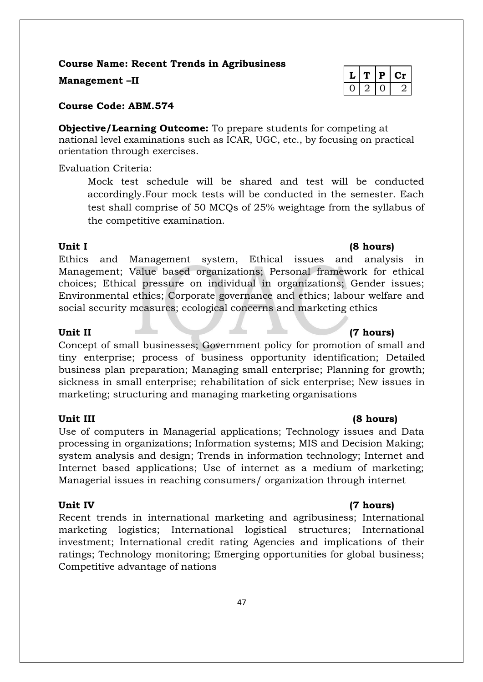**Course Name: Recent Trends in Agribusiness**

**Management -II** 

**Course Code: ABM.574**

**Objective/Learning Outcome:** To prepare students for competing at national level examinations such as ICAR, UGC, etc., by focusing on practical orientation through exercises.

Evaluation Criteria:

Mock test schedule will be shared and test will be conducted accordingly.Four mock tests will be conducted in the semester. Each test shall comprise of 50 MCQs of 25% weightage from the syllabus of the competitive examination.

Ethics and Management system, Ethical issues and analysis in Management; Value based organizations; Personal framework for ethical choices; Ethical pressure on individual in organizations; Gender issues; Environmental ethics; Corporate governance and ethics; labour welfare and social security measures; ecological concerns and marketing ethics

Concept of small businesses; Government policy for promotion of small and tiny enterprise; process of business opportunity identification; Detailed business plan preparation; Managing small enterprise; Planning for growth; sickness in small enterprise; rehabilitation of sick enterprise; New issues in marketing; structuring and managing marketing organisations

Use of computers in Managerial applications; Technology issues and Data processing in organizations; Information systems; MIS and Decision Making; system analysis and design; Trends in information technology; Internet and Internet based applications; Use of internet as a medium of marketing; Managerial issues in reaching consumers/ organization through internet

Recent trends in international marketing and agribusiness; International marketing logistics; International logistical structures; International investment; International credit rating Agencies and implications of their ratings; Technology monitoring; Emerging opportunities for global business; Competitive advantage of nations

| - 17 | ш. | 1 I |
|------|----|-----|
|      |    |     |

#### **Unit III (8 hours)**

### **Unit IV (7 hours)**

### Unit II (7 hours)

### **Unit I (8 hours)**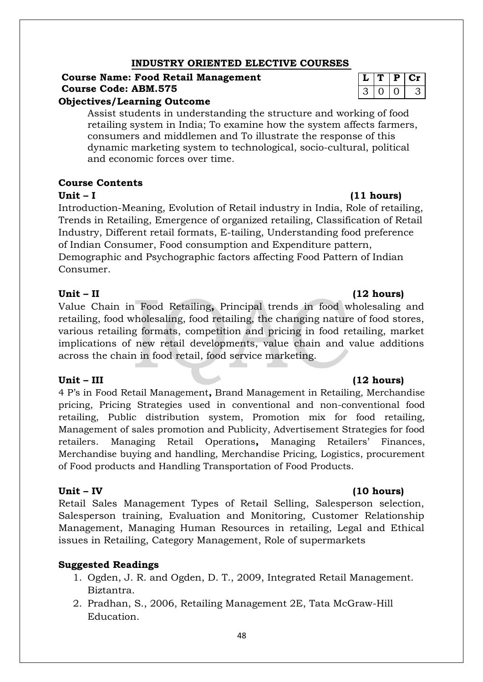### **INDUSTRY ORIENTED ELECTIVE COURSES**

### **Course Name: Food Retail Management Course Code: ABM.575**

#### **Objectives/Learning Outcome**

Assist students in understanding the structure and working of food retailing system in India; To examine how the system affects farmers, consumers and middlemen and To illustrate the response of this dynamic marketing system to technological, socio-cultural, political and economic forces over time*.*

#### **Course Contents**

#### **Unit – I (11 hours)**

Introduction-Meaning, Evolution of Retail industry in India, Role of retailing, Trends in Retailing, Emergence of organized retailing, Classification of Retail Industry, Different retail formats, E-tailing, Understanding food preference of Indian Consumer, Food consumption and Expenditure pattern, Demographic and Psychographic factors affecting Food Pattern of Indian Consumer.

#### **Unit – II (12 hours)**

Value Chain in Food Retailing**,** Principal trends in food wholesaling and retailing, food wholesaling, food retailing, the changing nature of food stores, various retailing formats, competition and pricing in food retailing, market implications of new retail developments, value chain and value additions across the chain in food retail, food service marketing.

4 P's in Food Retail Management**,** Brand Management in Retailing, Merchandise pricing, Pricing Strategies used in conventional and non-conventional food retailing, Public distribution system, Promotion mix for food retailing, Management of sales promotion and Publicity, Advertisement Strategies for food retailers. Managing Retail Operations**,** Managing Retailers' Finances, Merchandise buying and handling, Merchandise Pricing, Logistics, procurement of Food products and Handling Transportation of Food Products.

Retail Sales Management Types of Retail Selling, Salesperson selection, Salesperson training, Evaluation and Monitoring, Customer Relationship Management, Managing Human Resources in retailing, Legal and Ethical issues in Retailing, Category Management, Role of supermarkets

#### **Suggested Readings**

- 1. Ogden, J. R. and Ogden, D. T., 2009, Integrated Retail Management. Biztantra.
- 2. Pradhan, S., 2006, Retailing Management 2E, Tata McGraw-Hill Education.

|   | ٠ |  |
|---|---|--|
| ◢ |   |  |

#### **Unit – III (12 hours)**

#### **Unit – IV (10 hours)**

#### 48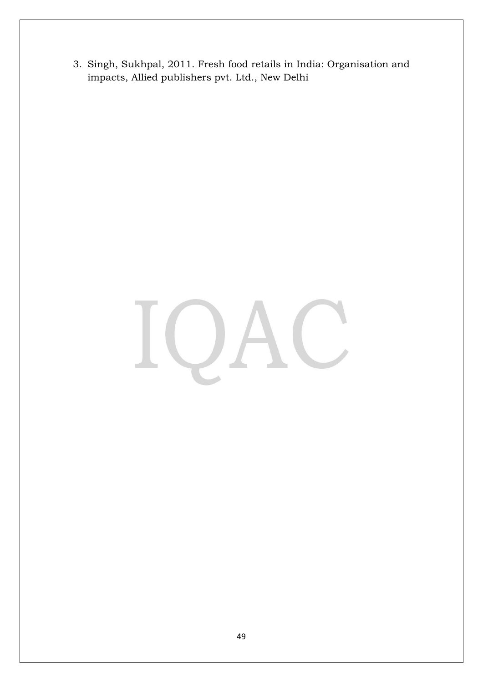3. Singh, Sukhpal, 2011. Fresh food retails in India: Organisation and impacts, Allied publishers pvt. Ltd., New Delhi

# $\cup$ L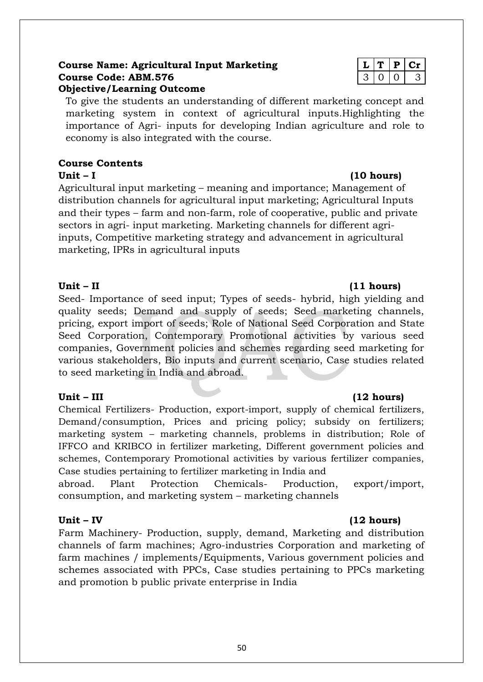#### **Course Name: Agricultural Input Marketing**  $\mathbf{L} | \mathbf{T} | \mathbf{P} | \mathbf{C} \mathbf{r}$ **Course Code: ABM.576** 3 0 0 3 **Objective/Learning Outcome**

To give the students an understanding of different marketing concept and marketing system in context of agricultural inputs.Highlighting the importance of Agri- inputs for developing Indian agriculture and role to economy is also integrated with the course.

### **Course Contents**

**Unit – I (10 hours)**  Agricultural input marketing – meaning and importance; Management of distribution channels for agricultural input marketing; Agricultural Inputs and their types – farm and non-farm, role of cooperative, public and private sectors in agri- input marketing. Marketing channels for different agriinputs, Competitive marketing strategy and advancement in agricultural marketing, IPRs in agricultural inputs

### **Unit – II (11 hours)**

Seed- Importance of seed input; Types of seeds- hybrid, high yielding and quality seeds; Demand and supply of seeds; Seed marketing channels, pricing, export import of seeds; Role of National Seed Corporation and State Seed Corporation, Contemporary Promotional activities by various seed companies, Government policies and schemes regarding seed marketing for various stakeholders, Bio inputs and current scenario, Case studies related to seed marketing in India and abroad.

### **Unit – III (12 hours)**

Chemical Fertilizers- Production, export-import, supply of chemical fertilizers, Demand/consumption, Prices and pricing policy; subsidy on fertilizers; marketing system – marketing channels, problems in distribution; Role of IFFCO and KRIBCO in fertilizer marketing, Different government policies and schemes, Contemporary Promotional activities by various fertilizer companies, Case studies pertaining to fertilizer marketing in India and

abroad. Plant Protection Chemicals- Production, export/import, consumption, and marketing system – marketing channels

### **Unit – IV (12 hours)**

Farm Machinery- Production, supply, demand, Marketing and distribution channels of farm machines; Agro-industries Corporation and marketing of farm machines / implements/Equipments, Various government policies and schemes associated with PPCs, Case studies pertaining to PPCs marketing and promotion b public private enterprise in India

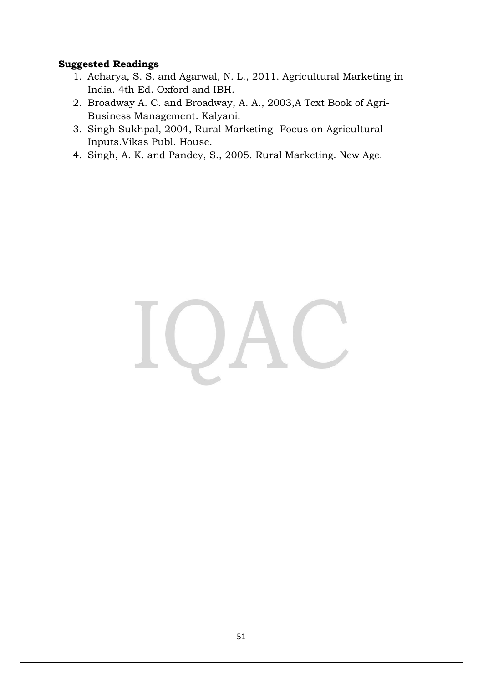### **Suggested Readings**

- 1. Acharya, S. S. and Agarwal, N. L., 2011. Agricultural Marketing in India. 4th Ed. Oxford and IBH.
- 2. Broadway A. C. and Broadway, A. A., 2003,A Text Book of Agri-Business Management. Kalyani.
- 3. Singh Sukhpal, 2004, Rural Marketing- Focus on Agricultural Inputs.Vikas Publ. House.
- 4. Singh, A. K. and Pandey, S., 2005. Rural Marketing. New Age.

# $\bigcup$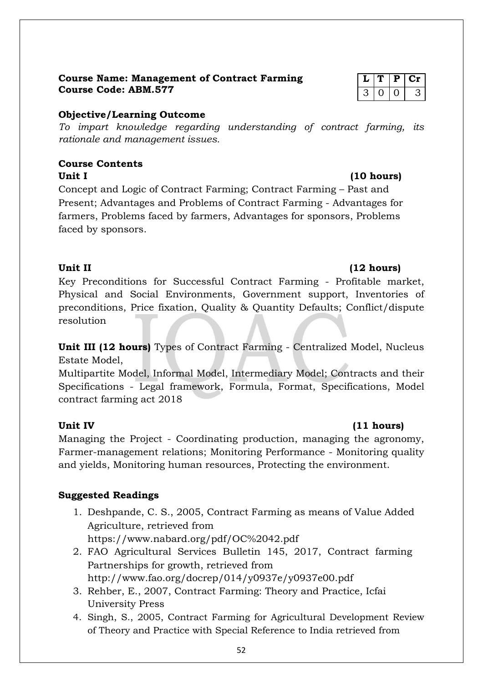### **Course Name: Management of Contract Farming**  $\boxed{L | T | P | Cr}$ **Course Code: ABM.577** 3 0 0 3

### **Objective/Learning Outcome**

*To impart knowledge regarding understanding of contract farming, its rationale and management issues.*

#### **Course Contents** Unit I (10 hours)

Concept and Logic of Contract Farming; Contract Farming – Past and Present; Advantages and Problems of Contract Farming - Advantages for farmers, Problems faced by farmers, Advantages for sponsors, Problems faced by sponsors.

Key Preconditions for Successful Contract Farming - Profitable market, Physical and Social Environments, Government support, Inventories of preconditions, Price fixation, Quality & Quantity Defaults; Conflict/dispute resolution

**Unit III (12 hours)** Types of Contract Farming - Centralized Model, Nucleus Estate Model,

Multipartite Model, Informal Model, Intermediary Model; Contracts and their Specifications - Legal framework, Formula, Format, Specifications, Model contract farming act 2018

Managing the Project - Coordinating production, managing the agronomy, Farmer-management relations; Monitoring Performance - Monitoring quality and yields, Monitoring human resources, Protecting the environment.

### **Suggested Readings**

- 1. Deshpande, C. S., 2005, Contract Farming as means of Value Added Agriculture, retrieved from https://www.nabard.org/pdf/OC%2042.pdf
- 2. FAO Agricultural Services Bulletin 145, 2017, Contract farming Partnerships for growth, retrieved from http://www.fao.org/docrep/014/y0937e/y0937e00.pdf
- 3. Rehber, E., 2007, Contract Farming: Theory and Practice, Icfai University Press
- 4. Singh, S., 2005, Contract Farming for Agricultural Development Review of Theory and Practice with Special Reference to India retrieved from

### Unit II (12 hours)

### Unit IV (11 hours)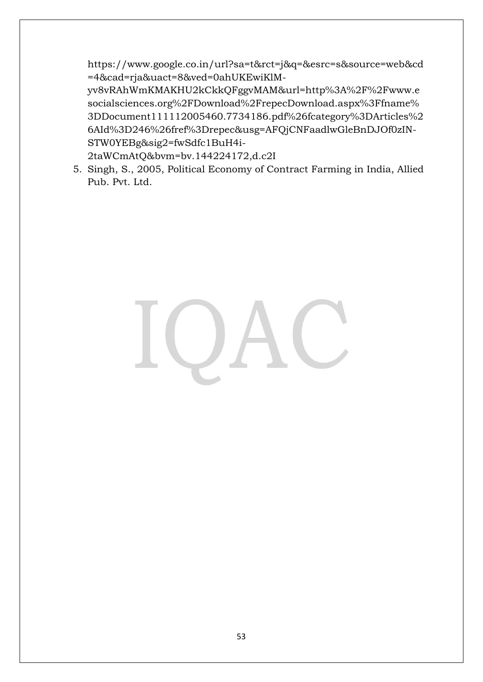https://www.google.co.in/url?sa=t&rct=j&q=&esrc=s&source=web&cd =4&cad=rja&uact=8&ved=0ahUKEwiKlM-

yv8vRAhWmKMAKHU2kCkkQFggvMAM&url=http%3A%2F%2Fwww.e socialsciences.org%2FDownload%2FrepecDownload.aspx%3Ffname% 3DDocument111112005460.7734186.pdf%26fcategory%3DArticles%2 6AId%3D246%26fref%3Drepec&usg=AFQjCNFaadlwGleBnDJOf0zIN-STW0YEBg&sig2=fwSdfc1BuH4i-

2taWCmAtQ&bvm=bv.144224172,d.c2I

5. Singh, S., 2005, Political Economy of Contract Farming in India, Allied Pub. Pvt. Ltd.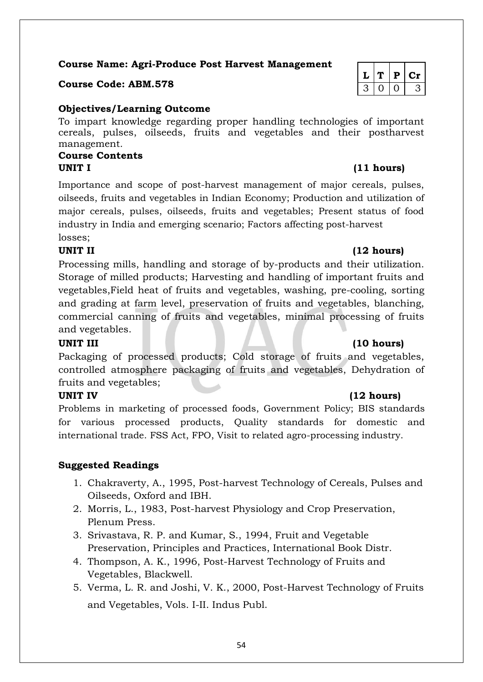**Course Name: Agri-Produce Post Harvest Management**

### **Course Code: ABM.578**

### **Objectives/Learning Outcome**

To impart knowledge regarding proper handling technologies of important cereals, pulses, oilseeds, fruits and vegetables and their postharvest management*.*

### **Course Contents UNIT I (11 hours)**

Importance and scope of post-harvest management of major cereals, pulses, oilseeds, fruits and vegetables in Indian Economy; Production and utilization of major cereals, pulses, oilseeds, fruits and vegetables; Present status of food industry in India and emerging scenario; Factors affecting post-harvest losses;

Processing mills, handling and storage of by-products and their utilization. Storage of milled products; Harvesting and handling of important fruits and vegetables,Field heat of fruits and vegetables, washing, pre-cooling, sorting and grading at farm level, preservation of fruits and vegetables, blanching, commercial canning of fruits and vegetables, minimal processing of fruits and vegetables.

### **UNIT III (10 hours)**

Packaging of processed products; Cold storage of fruits and vegetables, controlled atmosphere packaging of fruits and vegetables, Dehydration of fruits and vegetables;

### **UNIT IV (12 hours)**

Problems in marketing of processed foods, Government Policy; BIS standards for various processed products, Quality standards for domestic and international trade. FSS Act, FPO, Visit to related agro-processing industry.

### **Suggested Readings**

- 1. Chakraverty, A., 1995, Post-harvest Technology of Cereals, Pulses and Oilseeds, Oxford and IBH.
- 2. Morris, L., 1983, Post-harvest Physiology and Crop Preservation, Plenum Press.
- 3. Srivastava, R. P. and Kumar, S., 1994, Fruit and Vegetable Preservation, Principles and Practices, International Book Distr.
- 4. Thompson, A. K., 1996, Post-Harvest Technology of Fruits and Vegetables, Blackwell.
- 5. Verma, L. R. and Joshi, V. K., 2000, Post-Harvest Technology of Fruits and Vegetables, Vols. I-II. Indus Publ.

|  | D | L C |
|--|---|-----|
|  |   |     |

### **UNIT II (12 hours)**